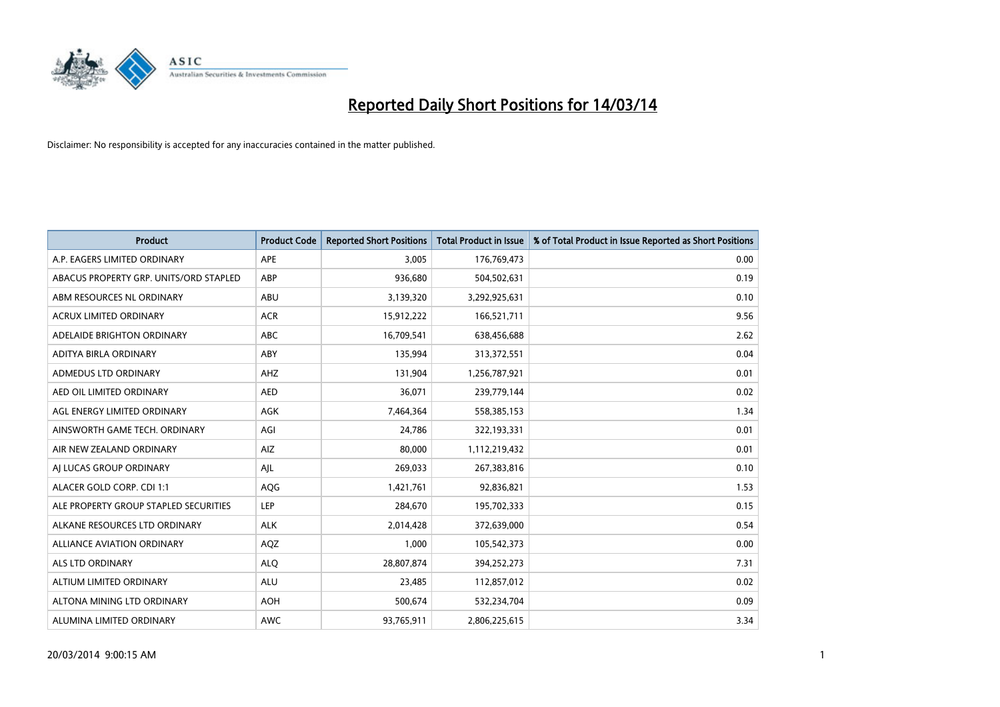

| <b>Product</b>                         | <b>Product Code</b> | <b>Reported Short Positions</b> | <b>Total Product in Issue</b> | % of Total Product in Issue Reported as Short Positions |
|----------------------------------------|---------------------|---------------------------------|-------------------------------|---------------------------------------------------------|
| A.P. EAGERS LIMITED ORDINARY           | APE                 | 3,005                           | 176,769,473                   | 0.00                                                    |
| ABACUS PROPERTY GRP. UNITS/ORD STAPLED | ABP                 | 936,680                         | 504,502,631                   | 0.19                                                    |
| ABM RESOURCES NL ORDINARY              | ABU                 | 3,139,320                       | 3,292,925,631                 | 0.10                                                    |
| ACRUX LIMITED ORDINARY                 | <b>ACR</b>          | 15,912,222                      | 166,521,711                   | 9.56                                                    |
| ADELAIDE BRIGHTON ORDINARY             | <b>ABC</b>          | 16,709,541                      | 638,456,688                   | 2.62                                                    |
| ADITYA BIRLA ORDINARY                  | ABY                 | 135,994                         | 313,372,551                   | 0.04                                                    |
| ADMEDUS LTD ORDINARY                   | AHZ                 | 131,904                         | 1,256,787,921                 | 0.01                                                    |
| AED OIL LIMITED ORDINARY               | <b>AED</b>          | 36,071                          | 239,779,144                   | 0.02                                                    |
| AGL ENERGY LIMITED ORDINARY            | <b>AGK</b>          | 7,464,364                       | 558,385,153                   | 1.34                                                    |
| AINSWORTH GAME TECH. ORDINARY          | AGI                 | 24,786                          | 322,193,331                   | 0.01                                                    |
| AIR NEW ZEALAND ORDINARY               | AIZ                 | 80,000                          | 1,112,219,432                 | 0.01                                                    |
| AI LUCAS GROUP ORDINARY                | AJL                 | 269,033                         | 267,383,816                   | 0.10                                                    |
| ALACER GOLD CORP. CDI 1:1              | AQG                 | 1,421,761                       | 92,836,821                    | 1.53                                                    |
| ALE PROPERTY GROUP STAPLED SECURITIES  | LEP                 | 284,670                         | 195,702,333                   | 0.15                                                    |
| ALKANE RESOURCES LTD ORDINARY          | <b>ALK</b>          | 2,014,428                       | 372,639,000                   | 0.54                                                    |
| ALLIANCE AVIATION ORDINARY             | <b>AQZ</b>          | 1,000                           | 105,542,373                   | 0.00                                                    |
| ALS LTD ORDINARY                       | <b>ALO</b>          | 28,807,874                      | 394,252,273                   | 7.31                                                    |
| ALTIUM LIMITED ORDINARY                | <b>ALU</b>          | 23,485                          | 112,857,012                   | 0.02                                                    |
| ALTONA MINING LTD ORDINARY             | <b>AOH</b>          | 500,674                         | 532,234,704                   | 0.09                                                    |
| ALUMINA LIMITED ORDINARY               | <b>AWC</b>          | 93,765,911                      | 2,806,225,615                 | 3.34                                                    |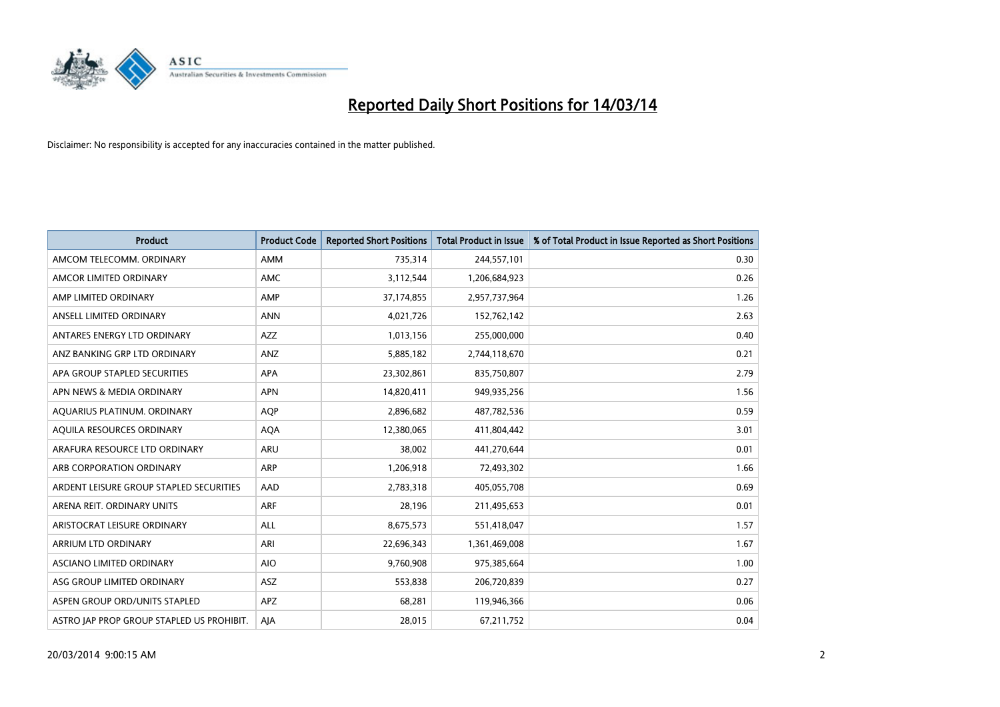

| <b>Product</b>                            | <b>Product Code</b> | <b>Reported Short Positions</b> | <b>Total Product in Issue</b> | % of Total Product in Issue Reported as Short Positions |
|-------------------------------------------|---------------------|---------------------------------|-------------------------------|---------------------------------------------------------|
| AMCOM TELECOMM, ORDINARY                  | <b>AMM</b>          | 735,314                         | 244,557,101                   | 0.30                                                    |
| AMCOR LIMITED ORDINARY                    | <b>AMC</b>          | 3,112,544                       | 1,206,684,923                 | 0.26                                                    |
| AMP LIMITED ORDINARY                      | AMP                 | 37,174,855                      | 2,957,737,964                 | 1.26                                                    |
| ANSELL LIMITED ORDINARY                   | <b>ANN</b>          | 4,021,726                       | 152,762,142                   | 2.63                                                    |
| ANTARES ENERGY LTD ORDINARY               | <b>AZZ</b>          | 1,013,156                       | 255,000,000                   | 0.40                                                    |
| ANZ BANKING GRP LTD ORDINARY              | ANZ                 | 5,885,182                       | 2,744,118,670                 | 0.21                                                    |
| APA GROUP STAPLED SECURITIES              | <b>APA</b>          | 23,302,861                      | 835,750,807                   | 2.79                                                    |
| APN NEWS & MEDIA ORDINARY                 | <b>APN</b>          | 14,820,411                      | 949,935,256                   | 1.56                                                    |
| AQUARIUS PLATINUM. ORDINARY               | <b>AOP</b>          | 2,896,682                       | 487,782,536                   | 0.59                                                    |
| AQUILA RESOURCES ORDINARY                 | <b>AQA</b>          | 12,380,065                      | 411,804,442                   | 3.01                                                    |
| ARAFURA RESOURCE LTD ORDINARY             | ARU                 | 38,002                          | 441,270,644                   | 0.01                                                    |
| ARB CORPORATION ORDINARY                  | <b>ARP</b>          | 1,206,918                       | 72,493,302                    | 1.66                                                    |
| ARDENT LEISURE GROUP STAPLED SECURITIES   | AAD                 | 2,783,318                       | 405,055,708                   | 0.69                                                    |
| ARENA REIT. ORDINARY UNITS                | ARF                 | 28,196                          | 211,495,653                   | 0.01                                                    |
| ARISTOCRAT LEISURE ORDINARY               | <b>ALL</b>          | 8,675,573                       | 551,418,047                   | 1.57                                                    |
| ARRIUM LTD ORDINARY                       | ARI                 | 22,696,343                      | 1,361,469,008                 | 1.67                                                    |
| ASCIANO LIMITED ORDINARY                  | <b>AIO</b>          | 9,760,908                       | 975,385,664                   | 1.00                                                    |
| ASG GROUP LIMITED ORDINARY                | <b>ASZ</b>          | 553,838                         | 206,720,839                   | 0.27                                                    |
| ASPEN GROUP ORD/UNITS STAPLED             | <b>APZ</b>          | 68,281                          | 119,946,366                   | 0.06                                                    |
| ASTRO JAP PROP GROUP STAPLED US PROHIBIT. | AJA                 | 28,015                          | 67,211,752                    | 0.04                                                    |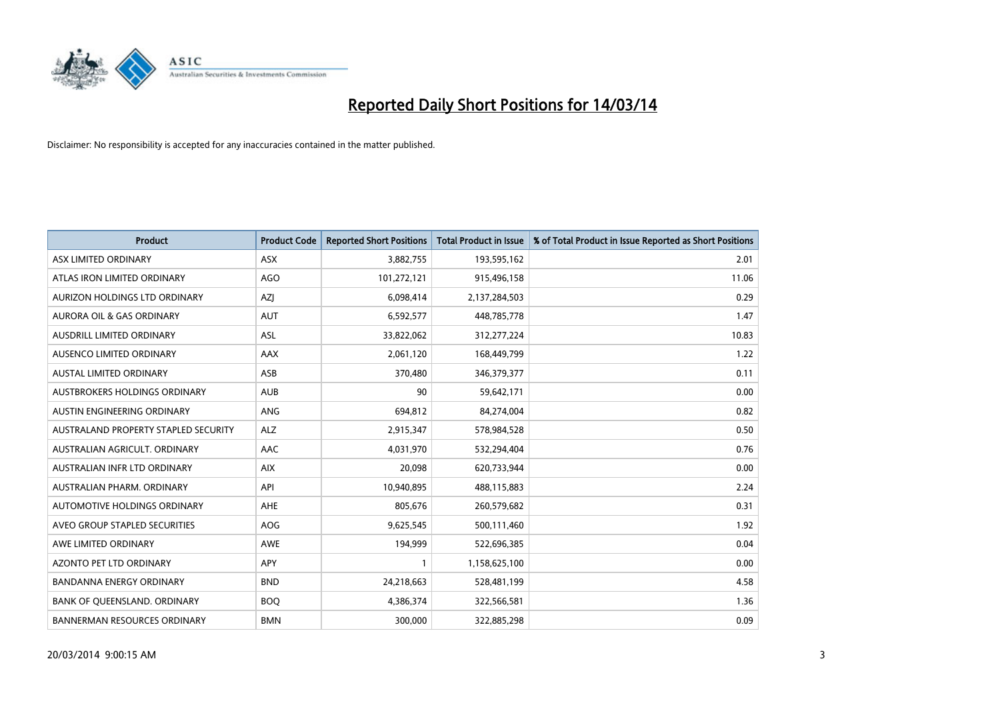

| <b>Product</b>                       | <b>Product Code</b> | <b>Reported Short Positions</b> | <b>Total Product in Issue</b> | % of Total Product in Issue Reported as Short Positions |
|--------------------------------------|---------------------|---------------------------------|-------------------------------|---------------------------------------------------------|
| ASX LIMITED ORDINARY                 | ASX                 | 3,882,755                       | 193,595,162                   | 2.01                                                    |
| ATLAS IRON LIMITED ORDINARY          | <b>AGO</b>          | 101,272,121                     | 915,496,158                   | 11.06                                                   |
| AURIZON HOLDINGS LTD ORDINARY        | AZJ                 | 6,098,414                       | 2,137,284,503                 | 0.29                                                    |
| AURORA OIL & GAS ORDINARY            | <b>AUT</b>          | 6,592,577                       | 448,785,778                   | 1.47                                                    |
| AUSDRILL LIMITED ORDINARY            | <b>ASL</b>          | 33,822,062                      | 312,277,224                   | 10.83                                                   |
| AUSENCO LIMITED ORDINARY             | AAX                 | 2,061,120                       | 168,449,799                   | 1.22                                                    |
| <b>AUSTAL LIMITED ORDINARY</b>       | ASB                 | 370,480                         | 346, 379, 377                 | 0.11                                                    |
| <b>AUSTBROKERS HOLDINGS ORDINARY</b> | <b>AUB</b>          | 90                              | 59,642,171                    | 0.00                                                    |
| AUSTIN ENGINEERING ORDINARY          | <b>ANG</b>          | 694,812                         | 84,274,004                    | 0.82                                                    |
| AUSTRALAND PROPERTY STAPLED SECURITY | <b>ALZ</b>          | 2,915,347                       | 578,984,528                   | 0.50                                                    |
| AUSTRALIAN AGRICULT, ORDINARY        | <b>AAC</b>          | 4,031,970                       | 532,294,404                   | 0.76                                                    |
| AUSTRALIAN INFR LTD ORDINARY         | <b>AIX</b>          | 20,098                          | 620,733,944                   | 0.00                                                    |
| <b>AUSTRALIAN PHARM, ORDINARY</b>    | API                 | 10,940,895                      | 488,115,883                   | 2.24                                                    |
| AUTOMOTIVE HOLDINGS ORDINARY         | AHE                 | 805.676                         | 260,579,682                   | 0.31                                                    |
| AVEO GROUP STAPLED SECURITIES        | <b>AOG</b>          | 9,625,545                       | 500,111,460                   | 1.92                                                    |
| AWE LIMITED ORDINARY                 | <b>AWE</b>          | 194,999                         | 522,696,385                   | 0.04                                                    |
| AZONTO PET LTD ORDINARY              | <b>APY</b>          |                                 | 1,158,625,100                 | 0.00                                                    |
| <b>BANDANNA ENERGY ORDINARY</b>      | <b>BND</b>          | 24,218,663                      | 528,481,199                   | 4.58                                                    |
| BANK OF QUEENSLAND. ORDINARY         | <b>BOQ</b>          | 4,386,374                       | 322,566,581                   | 1.36                                                    |
| <b>BANNERMAN RESOURCES ORDINARY</b>  | <b>BMN</b>          | 300.000                         | 322,885,298                   | 0.09                                                    |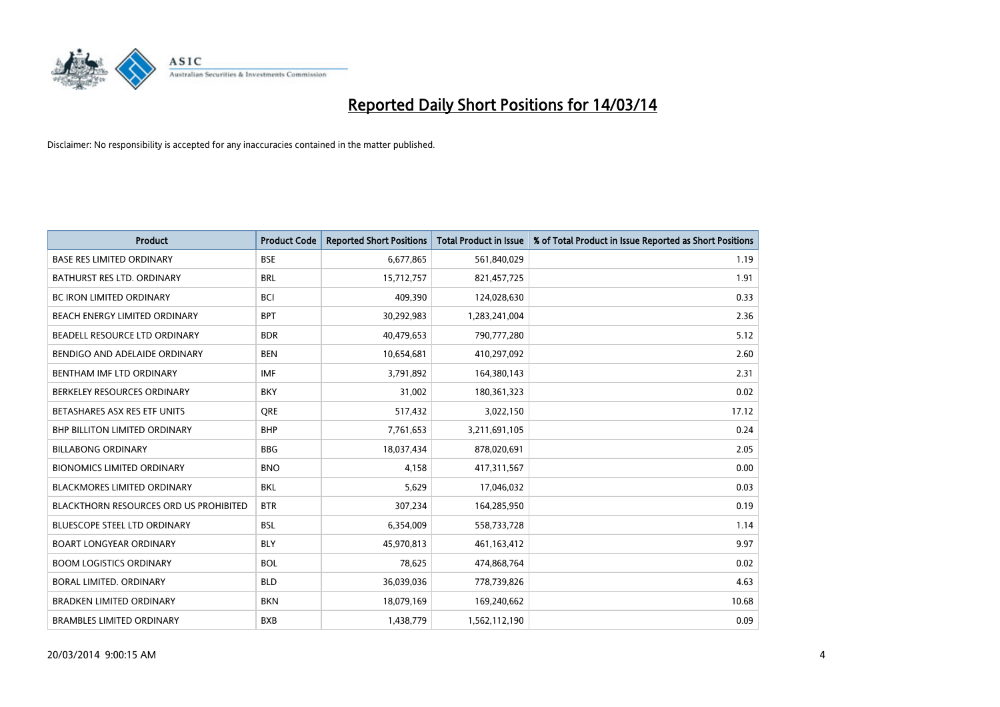

| <b>Product</b>                                | <b>Product Code</b> | <b>Reported Short Positions</b> | <b>Total Product in Issue</b> | % of Total Product in Issue Reported as Short Positions |
|-----------------------------------------------|---------------------|---------------------------------|-------------------------------|---------------------------------------------------------|
| <b>BASE RES LIMITED ORDINARY</b>              | <b>BSE</b>          | 6,677,865                       | 561,840,029                   | 1.19                                                    |
| BATHURST RES LTD. ORDINARY                    | <b>BRL</b>          | 15,712,757                      | 821,457,725                   | 1.91                                                    |
| <b>BC IRON LIMITED ORDINARY</b>               | <b>BCI</b>          | 409,390                         | 124,028,630                   | 0.33                                                    |
| BEACH ENERGY LIMITED ORDINARY                 | <b>BPT</b>          | 30,292,983                      | 1,283,241,004                 | 2.36                                                    |
| BEADELL RESOURCE LTD ORDINARY                 | <b>BDR</b>          | 40,479,653                      | 790,777,280                   | 5.12                                                    |
| BENDIGO AND ADELAIDE ORDINARY                 | <b>BEN</b>          | 10,654,681                      | 410,297,092                   | 2.60                                                    |
| <b>BENTHAM IMF LTD ORDINARY</b>               | <b>IMF</b>          | 3,791,892                       | 164,380,143                   | 2.31                                                    |
| BERKELEY RESOURCES ORDINARY                   | <b>BKY</b>          | 31,002                          | 180,361,323                   | 0.02                                                    |
| BETASHARES ASX RES ETF UNITS                  | <b>ORE</b>          | 517,432                         | 3,022,150                     | 17.12                                                   |
| <b>BHP BILLITON LIMITED ORDINARY</b>          | <b>BHP</b>          | 7,761,653                       | 3,211,691,105                 | 0.24                                                    |
| <b>BILLABONG ORDINARY</b>                     | <b>BBG</b>          | 18,037,434                      | 878,020,691                   | 2.05                                                    |
| <b>BIONOMICS LIMITED ORDINARY</b>             | <b>BNO</b>          | 4,158                           | 417,311,567                   | 0.00                                                    |
| <b>BLACKMORES LIMITED ORDINARY</b>            | <b>BKL</b>          | 5,629                           | 17,046,032                    | 0.03                                                    |
| <b>BLACKTHORN RESOURCES ORD US PROHIBITED</b> | <b>BTR</b>          | 307,234                         | 164,285,950                   | 0.19                                                    |
| <b>BLUESCOPE STEEL LTD ORDINARY</b>           | <b>BSL</b>          | 6,354,009                       | 558,733,728                   | 1.14                                                    |
| <b>BOART LONGYEAR ORDINARY</b>                | <b>BLY</b>          | 45,970,813                      | 461,163,412                   | 9.97                                                    |
| <b>BOOM LOGISTICS ORDINARY</b>                | <b>BOL</b>          | 78,625                          | 474,868,764                   | 0.02                                                    |
| BORAL LIMITED. ORDINARY                       | <b>BLD</b>          | 36,039,036                      | 778,739,826                   | 4.63                                                    |
| <b>BRADKEN LIMITED ORDINARY</b>               | <b>BKN</b>          | 18,079,169                      | 169,240,662                   | 10.68                                                   |
| <b>BRAMBLES LIMITED ORDINARY</b>              | <b>BXB</b>          | 1,438,779                       | 1,562,112,190                 | 0.09                                                    |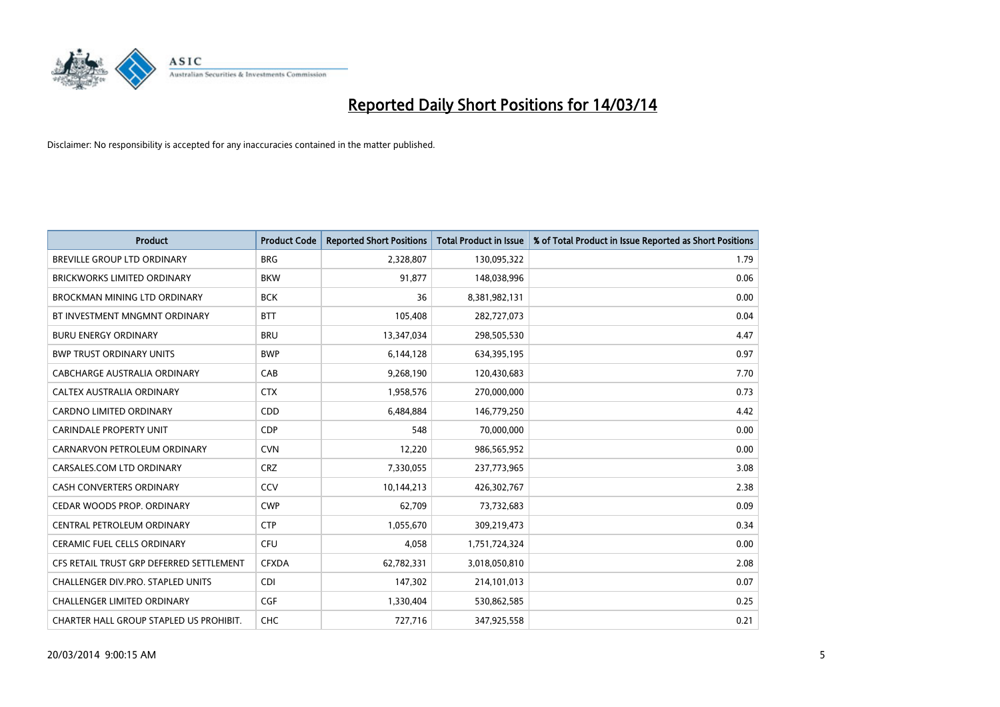

| <b>Product</b>                           | <b>Product Code</b> | <b>Reported Short Positions</b> | <b>Total Product in Issue</b> | % of Total Product in Issue Reported as Short Positions |
|------------------------------------------|---------------------|---------------------------------|-------------------------------|---------------------------------------------------------|
| <b>BREVILLE GROUP LTD ORDINARY</b>       | <b>BRG</b>          | 2,328,807                       | 130,095,322                   | 1.79                                                    |
| <b>BRICKWORKS LIMITED ORDINARY</b>       | <b>BKW</b>          | 91,877                          | 148,038,996                   | 0.06                                                    |
| BROCKMAN MINING LTD ORDINARY             | <b>BCK</b>          | 36                              | 8,381,982,131                 | 0.00                                                    |
| BT INVESTMENT MNGMNT ORDINARY            | <b>BTT</b>          | 105,408                         | 282,727,073                   | 0.04                                                    |
| <b>BURU ENERGY ORDINARY</b>              | <b>BRU</b>          | 13,347,034                      | 298,505,530                   | 4.47                                                    |
| <b>BWP TRUST ORDINARY UNITS</b>          | <b>BWP</b>          | 6,144,128                       | 634,395,195                   | 0.97                                                    |
| CABCHARGE AUSTRALIA ORDINARY             | CAB                 | 9,268,190                       | 120,430,683                   | 7.70                                                    |
| <b>CALTEX AUSTRALIA ORDINARY</b>         | <b>CTX</b>          | 1,958,576                       | 270,000,000                   | 0.73                                                    |
| CARDNO LIMITED ORDINARY                  | CDD                 | 6,484,884                       | 146,779,250                   | 4.42                                                    |
| <b>CARINDALE PROPERTY UNIT</b>           | <b>CDP</b>          | 548                             | 70,000,000                    | 0.00                                                    |
| CARNARVON PETROLEUM ORDINARY             | <b>CVN</b>          | 12,220                          | 986,565,952                   | 0.00                                                    |
| CARSALES.COM LTD ORDINARY                | <b>CRZ</b>          | 7,330,055                       | 237,773,965                   | 3.08                                                    |
| <b>CASH CONVERTERS ORDINARY</b>          | CCV                 | 10,144,213                      | 426,302,767                   | 2.38                                                    |
| CEDAR WOODS PROP. ORDINARY               | <b>CWP</b>          | 62,709                          | 73,732,683                    | 0.09                                                    |
| CENTRAL PETROLEUM ORDINARY               | <b>CTP</b>          | 1,055,670                       | 309,219,473                   | 0.34                                                    |
| CERAMIC FUEL CELLS ORDINARY              | <b>CFU</b>          | 4,058                           | 1,751,724,324                 | 0.00                                                    |
| CFS RETAIL TRUST GRP DEFERRED SETTLEMENT | <b>CFXDA</b>        | 62,782,331                      | 3,018,050,810                 | 2.08                                                    |
| CHALLENGER DIV.PRO. STAPLED UNITS        | <b>CDI</b>          | 147,302                         | 214,101,013                   | 0.07                                                    |
| <b>CHALLENGER LIMITED ORDINARY</b>       | <b>CGF</b>          | 1,330,404                       | 530,862,585                   | 0.25                                                    |
| CHARTER HALL GROUP STAPLED US PROHIBIT.  | <b>CHC</b>          | 727,716                         | 347,925,558                   | 0.21                                                    |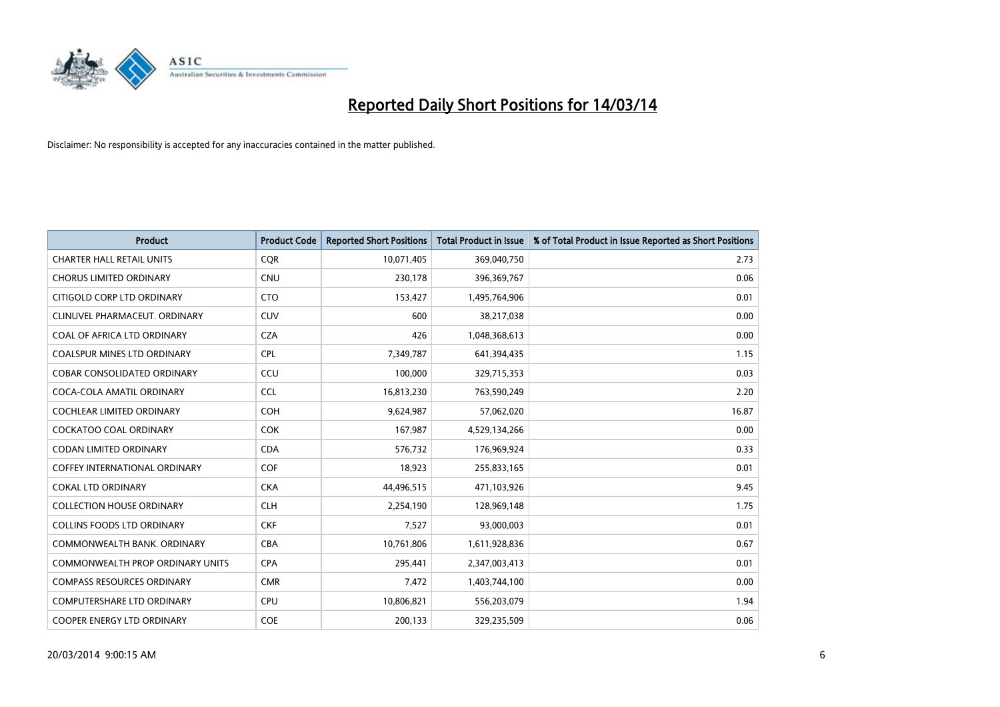

| <b>Product</b>                       | <b>Product Code</b> | <b>Reported Short Positions</b> | <b>Total Product in Issue</b> | % of Total Product in Issue Reported as Short Positions |
|--------------------------------------|---------------------|---------------------------------|-------------------------------|---------------------------------------------------------|
| <b>CHARTER HALL RETAIL UNITS</b>     | <b>COR</b>          | 10,071,405                      | 369,040,750                   | 2.73                                                    |
| <b>CHORUS LIMITED ORDINARY</b>       | <b>CNU</b>          | 230,178                         | 396,369,767                   | 0.06                                                    |
| CITIGOLD CORP LTD ORDINARY           | <b>CTO</b>          | 153,427                         | 1,495,764,906                 | 0.01                                                    |
| CLINUVEL PHARMACEUT. ORDINARY        | <b>CUV</b>          | 600                             | 38,217,038                    | 0.00                                                    |
| COAL OF AFRICA LTD ORDINARY          | <b>CZA</b>          | 426                             | 1,048,368,613                 | 0.00                                                    |
| <b>COALSPUR MINES LTD ORDINARY</b>   | <b>CPL</b>          | 7,349,787                       | 641,394,435                   | 1.15                                                    |
| COBAR CONSOLIDATED ORDINARY          | CCU                 | 100,000                         | 329,715,353                   | 0.03                                                    |
| COCA-COLA AMATIL ORDINARY            | <b>CCL</b>          | 16,813,230                      | 763,590,249                   | 2.20                                                    |
| <b>COCHLEAR LIMITED ORDINARY</b>     | <b>COH</b>          | 9,624,987                       | 57,062,020                    | 16.87                                                   |
| <b>COCKATOO COAL ORDINARY</b>        | <b>COK</b>          | 167,987                         | 4,529,134,266                 | 0.00                                                    |
| <b>CODAN LIMITED ORDINARY</b>        | <b>CDA</b>          | 576,732                         | 176,969,924                   | 0.33                                                    |
| <b>COFFEY INTERNATIONAL ORDINARY</b> | <b>COF</b>          | 18,923                          | 255,833,165                   | 0.01                                                    |
| <b>COKAL LTD ORDINARY</b>            | <b>CKA</b>          | 44,496,515                      | 471,103,926                   | 9.45                                                    |
| <b>COLLECTION HOUSE ORDINARY</b>     | <b>CLH</b>          | 2,254,190                       | 128,969,148                   | 1.75                                                    |
| <b>COLLINS FOODS LTD ORDINARY</b>    | <b>CKF</b>          | 7,527                           | 93,000,003                    | 0.01                                                    |
| COMMONWEALTH BANK, ORDINARY          | <b>CBA</b>          | 10,761,806                      | 1,611,928,836                 | 0.67                                                    |
| COMMONWEALTH PROP ORDINARY UNITS     | <b>CPA</b>          | 295,441                         | 2,347,003,413                 | 0.01                                                    |
| <b>COMPASS RESOURCES ORDINARY</b>    | <b>CMR</b>          | 7,472                           | 1,403,744,100                 | 0.00                                                    |
| <b>COMPUTERSHARE LTD ORDINARY</b>    | <b>CPU</b>          | 10,806,821                      | 556,203,079                   | 1.94                                                    |
| COOPER ENERGY LTD ORDINARY           | <b>COE</b>          | 200,133                         | 329,235,509                   | 0.06                                                    |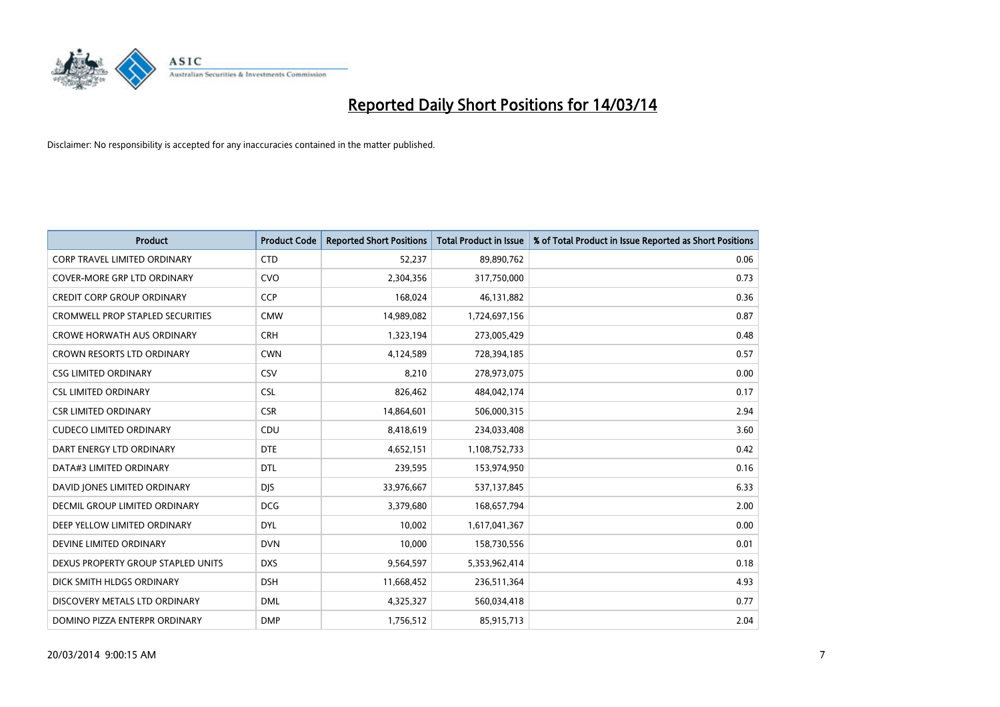

| <b>Product</b>                          | <b>Product Code</b> | <b>Reported Short Positions</b> | <b>Total Product in Issue</b> | % of Total Product in Issue Reported as Short Positions |
|-----------------------------------------|---------------------|---------------------------------|-------------------------------|---------------------------------------------------------|
| <b>CORP TRAVEL LIMITED ORDINARY</b>     | <b>CTD</b>          | 52,237                          | 89,890,762                    | 0.06                                                    |
| COVER-MORE GRP LTD ORDINARY             | <b>CVO</b>          | 2,304,356                       | 317,750,000                   | 0.73                                                    |
| <b>CREDIT CORP GROUP ORDINARY</b>       | <b>CCP</b>          | 168,024                         | 46,131,882                    | 0.36                                                    |
| <b>CROMWELL PROP STAPLED SECURITIES</b> | <b>CMW</b>          | 14,989,082                      | 1,724,697,156                 | 0.87                                                    |
| <b>CROWE HORWATH AUS ORDINARY</b>       | <b>CRH</b>          | 1,323,194                       | 273,005,429                   | 0.48                                                    |
| <b>CROWN RESORTS LTD ORDINARY</b>       | <b>CWN</b>          | 4,124,589                       | 728,394,185                   | 0.57                                                    |
| <b>CSG LIMITED ORDINARY</b>             | CSV                 | 8.210                           | 278,973,075                   | 0.00                                                    |
| <b>CSL LIMITED ORDINARY</b>             | <b>CSL</b>          | 826,462                         | 484,042,174                   | 0.17                                                    |
| <b>CSR LIMITED ORDINARY</b>             | <b>CSR</b>          | 14,864,601                      | 506,000,315                   | 2.94                                                    |
| <b>CUDECO LIMITED ORDINARY</b>          | CDU                 | 8,418,619                       | 234,033,408                   | 3.60                                                    |
| DART ENERGY LTD ORDINARY                | <b>DTE</b>          | 4,652,151                       | 1,108,752,733                 | 0.42                                                    |
| DATA#3 LIMITED ORDINARY                 | <b>DTL</b>          | 239,595                         | 153,974,950                   | 0.16                                                    |
| DAVID JONES LIMITED ORDINARY            | <b>DJS</b>          | 33,976,667                      | 537,137,845                   | 6.33                                                    |
| <b>DECMIL GROUP LIMITED ORDINARY</b>    | <b>DCG</b>          | 3,379,680                       | 168,657,794                   | 2.00                                                    |
| DEEP YELLOW LIMITED ORDINARY            | <b>DYL</b>          | 10,002                          | 1,617,041,367                 | 0.00                                                    |
| DEVINE LIMITED ORDINARY                 | <b>DVN</b>          | 10,000                          | 158,730,556                   | 0.01                                                    |
| DEXUS PROPERTY GROUP STAPLED UNITS      | <b>DXS</b>          | 9,564,597                       | 5,353,962,414                 | 0.18                                                    |
| DICK SMITH HLDGS ORDINARY               | <b>DSH</b>          | 11,668,452                      | 236,511,364                   | 4.93                                                    |
| DISCOVERY METALS LTD ORDINARY           | <b>DML</b>          | 4,325,327                       | 560,034,418                   | 0.77                                                    |
| DOMINO PIZZA ENTERPR ORDINARY           | <b>DMP</b>          | 1,756,512                       | 85,915,713                    | 2.04                                                    |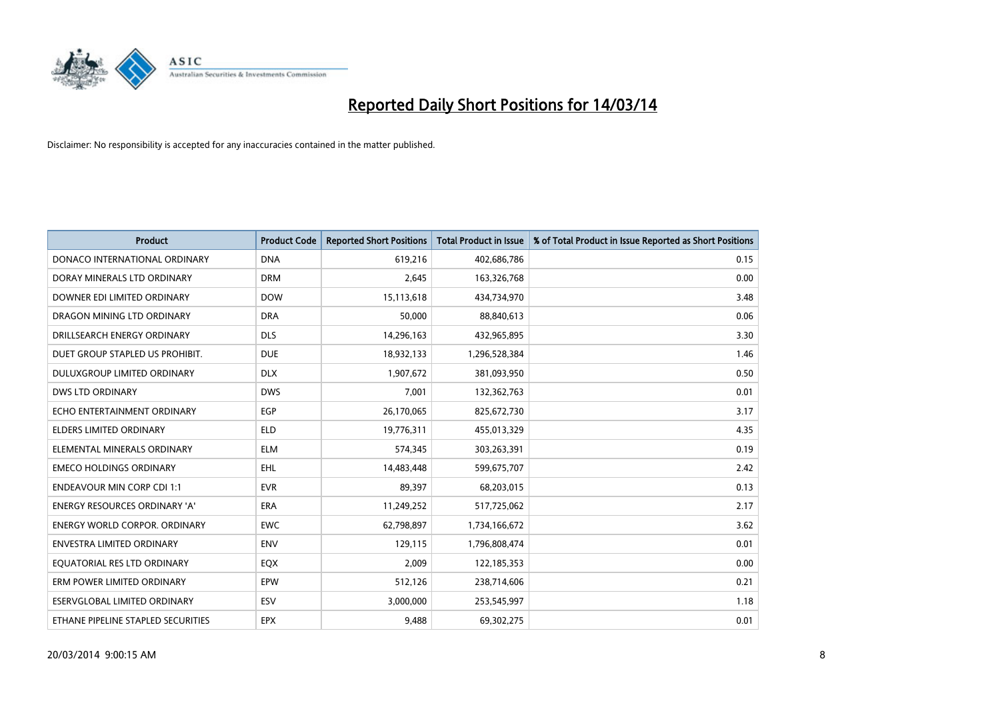

| <b>Product</b>                       | <b>Product Code</b> | <b>Reported Short Positions</b> | Total Product in Issue | % of Total Product in Issue Reported as Short Positions |
|--------------------------------------|---------------------|---------------------------------|------------------------|---------------------------------------------------------|
| DONACO INTERNATIONAL ORDINARY        | <b>DNA</b>          | 619,216                         | 402,686,786            | 0.15                                                    |
| DORAY MINERALS LTD ORDINARY          | <b>DRM</b>          | 2,645                           | 163,326,768            | 0.00                                                    |
| DOWNER EDI LIMITED ORDINARY          | <b>DOW</b>          | 15,113,618                      | 434,734,970            | 3.48                                                    |
| DRAGON MINING LTD ORDINARY           | <b>DRA</b>          | 50,000                          | 88,840,613             | 0.06                                                    |
| DRILLSEARCH ENERGY ORDINARY          | <b>DLS</b>          | 14,296,163                      | 432,965,895            | 3.30                                                    |
| DUET GROUP STAPLED US PROHIBIT.      | <b>DUE</b>          | 18,932,133                      | 1,296,528,384          | 1.46                                                    |
| DULUXGROUP LIMITED ORDINARY          | <b>DLX</b>          | 1,907,672                       | 381,093,950            | 0.50                                                    |
| <b>DWS LTD ORDINARY</b>              | <b>DWS</b>          | 7,001                           | 132,362,763            | 0.01                                                    |
| ECHO ENTERTAINMENT ORDINARY          | <b>EGP</b>          | 26,170,065                      | 825,672,730            | 3.17                                                    |
| <b>ELDERS LIMITED ORDINARY</b>       | <b>ELD</b>          | 19,776,311                      | 455,013,329            | 4.35                                                    |
| ELEMENTAL MINERALS ORDINARY          | <b>ELM</b>          | 574.345                         | 303,263,391            | 0.19                                                    |
| <b>EMECO HOLDINGS ORDINARY</b>       | EHL                 | 14,483,448                      | 599,675,707            | 2.42                                                    |
| <b>ENDEAVOUR MIN CORP CDI 1:1</b>    | <b>EVR</b>          | 89,397                          | 68,203,015             | 0.13                                                    |
| <b>ENERGY RESOURCES ORDINARY 'A'</b> | <b>ERA</b>          | 11,249,252                      | 517,725,062            | 2.17                                                    |
| <b>ENERGY WORLD CORPOR, ORDINARY</b> | <b>EWC</b>          | 62,798,897                      | 1,734,166,672          | 3.62                                                    |
| <b>ENVESTRA LIMITED ORDINARY</b>     | <b>ENV</b>          | 129,115                         | 1,796,808,474          | 0.01                                                    |
| EQUATORIAL RES LTD ORDINARY          | EQX                 | 2,009                           | 122,185,353            | 0.00                                                    |
| ERM POWER LIMITED ORDINARY           | EPW                 | 512,126                         | 238,714,606            | 0.21                                                    |
| ESERVGLOBAL LIMITED ORDINARY         | ESV                 | 3,000,000                       | 253,545,997            | 1.18                                                    |
| ETHANE PIPELINE STAPLED SECURITIES   | <b>EPX</b>          | 9.488                           | 69,302,275             | 0.01                                                    |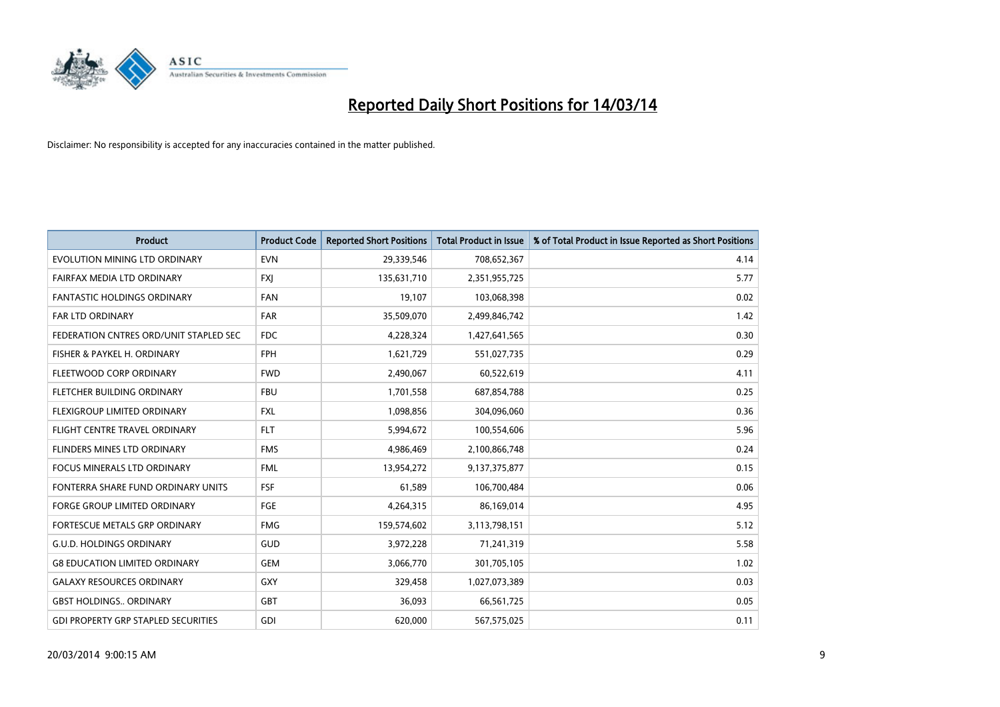

| <b>Product</b>                             | <b>Product Code</b> | <b>Reported Short Positions</b> | <b>Total Product in Issue</b> | % of Total Product in Issue Reported as Short Positions |
|--------------------------------------------|---------------------|---------------------------------|-------------------------------|---------------------------------------------------------|
| EVOLUTION MINING LTD ORDINARY              | <b>EVN</b>          | 29,339,546                      | 708,652,367                   | 4.14                                                    |
| FAIRFAX MEDIA LTD ORDINARY                 | <b>FXI</b>          | 135,631,710                     | 2,351,955,725                 | 5.77                                                    |
| <b>FANTASTIC HOLDINGS ORDINARY</b>         | <b>FAN</b>          | 19,107                          | 103,068,398                   | 0.02                                                    |
| FAR LTD ORDINARY                           | <b>FAR</b>          | 35,509,070                      | 2,499,846,742                 | 1.42                                                    |
| FEDERATION CNTRES ORD/UNIT STAPLED SEC     | <b>FDC</b>          | 4,228,324                       | 1,427,641,565                 | 0.30                                                    |
| FISHER & PAYKEL H. ORDINARY                | <b>FPH</b>          | 1,621,729                       | 551,027,735                   | 0.29                                                    |
| FLEETWOOD CORP ORDINARY                    | <b>FWD</b>          | 2,490,067                       | 60,522,619                    | 4.11                                                    |
| FLETCHER BUILDING ORDINARY                 | <b>FBU</b>          | 1,701,558                       | 687,854,788                   | 0.25                                                    |
| <b>FLEXIGROUP LIMITED ORDINARY</b>         | <b>FXL</b>          | 1,098,856                       | 304,096,060                   | 0.36                                                    |
| FLIGHT CENTRE TRAVEL ORDINARY              | <b>FLT</b>          | 5,994,672                       | 100,554,606                   | 5.96                                                    |
| FLINDERS MINES LTD ORDINARY                | <b>FMS</b>          | 4,986,469                       | 2,100,866,748                 | 0.24                                                    |
| <b>FOCUS MINERALS LTD ORDINARY</b>         | <b>FML</b>          | 13,954,272                      | 9,137,375,877                 | 0.15                                                    |
| FONTERRA SHARE FUND ORDINARY UNITS         | <b>FSF</b>          | 61,589                          | 106,700,484                   | 0.06                                                    |
| <b>FORGE GROUP LIMITED ORDINARY</b>        | FGE                 | 4,264,315                       | 86,169,014                    | 4.95                                                    |
| FORTESCUE METALS GRP ORDINARY              | <b>FMG</b>          | 159,574,602                     | 3,113,798,151                 | 5.12                                                    |
| <b>G.U.D. HOLDINGS ORDINARY</b>            | GUD                 | 3,972,228                       | 71,241,319                    | 5.58                                                    |
| <b>G8 EDUCATION LIMITED ORDINARY</b>       | <b>GEM</b>          | 3,066,770                       | 301,705,105                   | 1.02                                                    |
| <b>GALAXY RESOURCES ORDINARY</b>           | <b>GXY</b>          | 329,458                         | 1,027,073,389                 | 0.03                                                    |
| <b>GBST HOLDINGS ORDINARY</b>              | <b>GBT</b>          | 36,093                          | 66,561,725                    | 0.05                                                    |
| <b>GDI PROPERTY GRP STAPLED SECURITIES</b> | GDI                 | 620,000                         | 567,575,025                   | 0.11                                                    |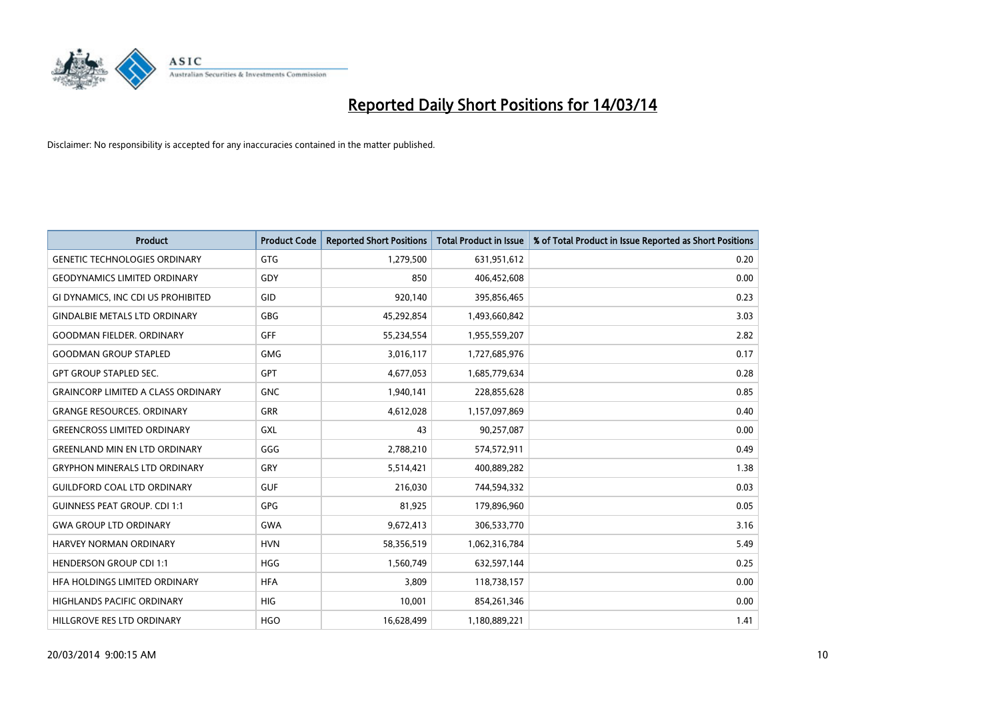

| <b>Product</b>                            | <b>Product Code</b> | <b>Reported Short Positions</b> | <b>Total Product in Issue</b> | % of Total Product in Issue Reported as Short Positions |
|-------------------------------------------|---------------------|---------------------------------|-------------------------------|---------------------------------------------------------|
| <b>GENETIC TECHNOLOGIES ORDINARY</b>      | <b>GTG</b>          | 1,279,500                       | 631,951,612                   | 0.20                                                    |
| <b>GEODYNAMICS LIMITED ORDINARY</b>       | GDY                 | 850                             | 406,452,608                   | 0.00                                                    |
| GI DYNAMICS, INC CDI US PROHIBITED        | GID                 | 920,140                         | 395,856,465                   | 0.23                                                    |
| <b>GINDALBIE METALS LTD ORDINARY</b>      | <b>GBG</b>          | 45,292,854                      | 1,493,660,842                 | 3.03                                                    |
| <b>GOODMAN FIELDER, ORDINARY</b>          | <b>GFF</b>          | 55,234,554                      | 1,955,559,207                 | 2.82                                                    |
| <b>GOODMAN GROUP STAPLED</b>              | <b>GMG</b>          | 3,016,117                       | 1,727,685,976                 | 0.17                                                    |
| <b>GPT GROUP STAPLED SEC.</b>             | <b>GPT</b>          | 4,677,053                       | 1,685,779,634                 | 0.28                                                    |
| <b>GRAINCORP LIMITED A CLASS ORDINARY</b> | <b>GNC</b>          | 1,940,141                       | 228,855,628                   | 0.85                                                    |
| <b>GRANGE RESOURCES, ORDINARY</b>         | <b>GRR</b>          | 4,612,028                       | 1,157,097,869                 | 0.40                                                    |
| <b>GREENCROSS LIMITED ORDINARY</b>        | GXL                 | 43                              | 90,257,087                    | 0.00                                                    |
| <b>GREENLAND MIN EN LTD ORDINARY</b>      | GGG                 | 2,788,210                       | 574,572,911                   | 0.49                                                    |
| <b>GRYPHON MINERALS LTD ORDINARY</b>      | GRY                 | 5,514,421                       | 400,889,282                   | 1.38                                                    |
| <b>GUILDFORD COAL LTD ORDINARY</b>        | <b>GUF</b>          | 216,030                         | 744,594,332                   | 0.03                                                    |
| <b>GUINNESS PEAT GROUP. CDI 1:1</b>       | <b>GPG</b>          | 81,925                          | 179,896,960                   | 0.05                                                    |
| <b>GWA GROUP LTD ORDINARY</b>             | <b>GWA</b>          | 9,672,413                       | 306,533,770                   | 3.16                                                    |
| HARVEY NORMAN ORDINARY                    | <b>HVN</b>          | 58,356,519                      | 1,062,316,784                 | 5.49                                                    |
| <b>HENDERSON GROUP CDI 1:1</b>            | <b>HGG</b>          | 1,560,749                       | 632,597,144                   | 0.25                                                    |
| HEA HOLDINGS LIMITED ORDINARY             | <b>HFA</b>          | 3,809                           | 118,738,157                   | 0.00                                                    |
| <b>HIGHLANDS PACIFIC ORDINARY</b>         | <b>HIG</b>          | 10,001                          | 854,261,346                   | 0.00                                                    |
| HILLGROVE RES LTD ORDINARY                | <b>HGO</b>          | 16,628,499                      | 1,180,889,221                 | 1.41                                                    |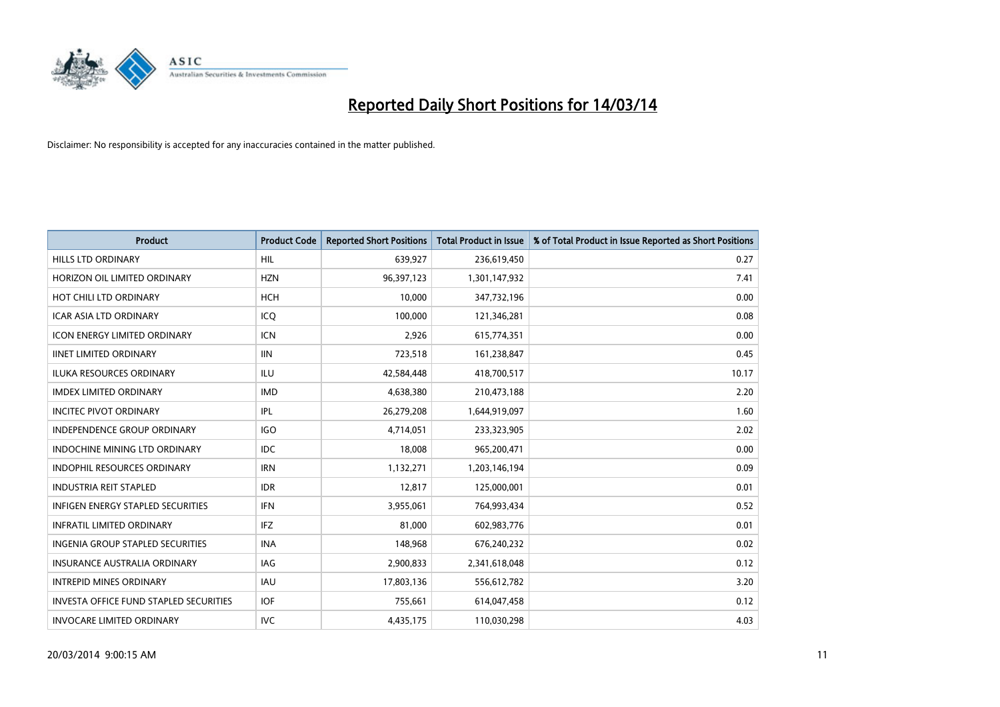

| <b>Product</b>                                | <b>Product Code</b> | <b>Reported Short Positions</b> | <b>Total Product in Issue</b> | % of Total Product in Issue Reported as Short Positions |
|-----------------------------------------------|---------------------|---------------------------------|-------------------------------|---------------------------------------------------------|
| <b>HILLS LTD ORDINARY</b>                     | <b>HIL</b>          | 639,927                         | 236,619,450                   | 0.27                                                    |
| HORIZON OIL LIMITED ORDINARY                  | <b>HZN</b>          | 96,397,123                      | 1,301,147,932                 | 7.41                                                    |
| HOT CHILI LTD ORDINARY                        | <b>HCH</b>          | 10,000                          | 347,732,196                   | 0.00                                                    |
| ICAR ASIA LTD ORDINARY                        | ICQ                 | 100,000                         | 121,346,281                   | 0.08                                                    |
| <b>ICON ENERGY LIMITED ORDINARY</b>           | <b>ICN</b>          | 2,926                           | 615,774,351                   | 0.00                                                    |
| <b>IINET LIMITED ORDINARY</b>                 | <b>IIN</b>          | 723,518                         | 161,238,847                   | 0.45                                                    |
| <b>ILUKA RESOURCES ORDINARY</b>               | ILU                 | 42,584,448                      | 418,700,517                   | 10.17                                                   |
| <b>IMDEX LIMITED ORDINARY</b>                 | <b>IMD</b>          | 4,638,380                       | 210,473,188                   | 2.20                                                    |
| <b>INCITEC PIVOT ORDINARY</b>                 | IPL                 | 26,279,208                      | 1,644,919,097                 | 1.60                                                    |
| <b>INDEPENDENCE GROUP ORDINARY</b>            | <b>IGO</b>          | 4,714,051                       | 233,323,905                   | 2.02                                                    |
| INDOCHINE MINING LTD ORDINARY                 | <b>IDC</b>          | 18,008                          | 965,200,471                   | 0.00                                                    |
| <b>INDOPHIL RESOURCES ORDINARY</b>            | <b>IRN</b>          | 1,132,271                       | 1,203,146,194                 | 0.09                                                    |
| <b>INDUSTRIA REIT STAPLED</b>                 | <b>IDR</b>          | 12,817                          | 125,000,001                   | 0.01                                                    |
| <b>INFIGEN ENERGY STAPLED SECURITIES</b>      | <b>IFN</b>          | 3,955,061                       | 764,993,434                   | 0.52                                                    |
| <b>INFRATIL LIMITED ORDINARY</b>              | IFZ                 | 81,000                          | 602,983,776                   | 0.01                                                    |
| <b>INGENIA GROUP STAPLED SECURITIES</b>       | <b>INA</b>          | 148,968                         | 676,240,232                   | 0.02                                                    |
| <b>INSURANCE AUSTRALIA ORDINARY</b>           | IAG                 | 2,900,833                       | 2,341,618,048                 | 0.12                                                    |
| <b>INTREPID MINES ORDINARY</b>                | <b>IAU</b>          | 17,803,136                      | 556,612,782                   | 3.20                                                    |
| <b>INVESTA OFFICE FUND STAPLED SECURITIES</b> | <b>IOF</b>          | 755,661                         | 614,047,458                   | 0.12                                                    |
| <b>INVOCARE LIMITED ORDINARY</b>              | IVC                 | 4,435,175                       | 110,030,298                   | 4.03                                                    |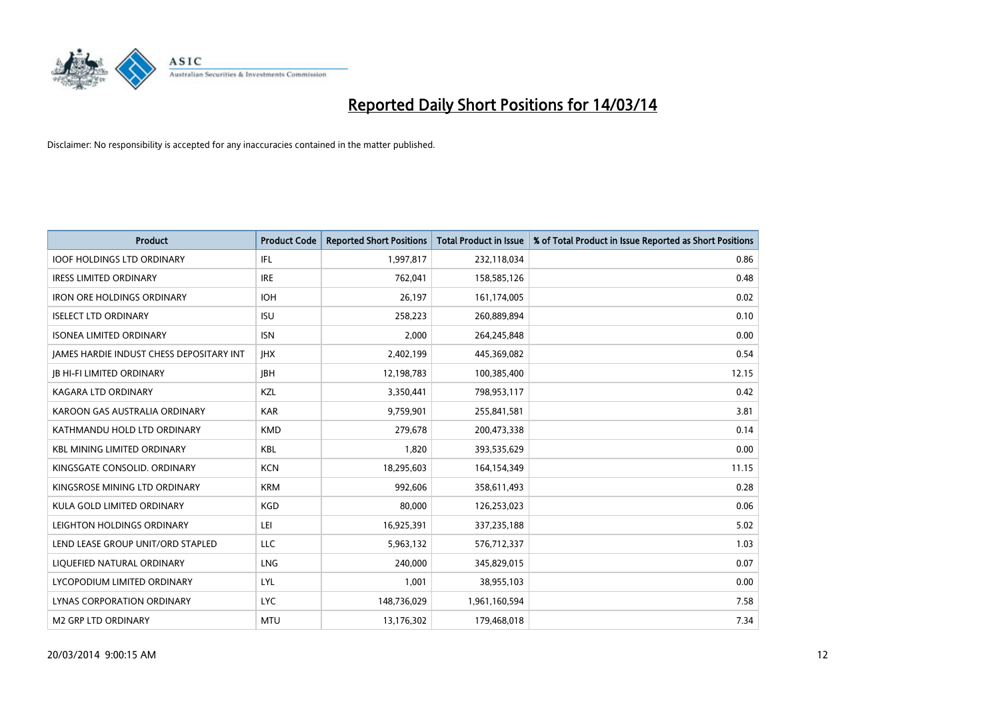

| <b>Product</b>                                  | <b>Product Code</b> | <b>Reported Short Positions</b> | <b>Total Product in Issue</b> | % of Total Product in Issue Reported as Short Positions |
|-------------------------------------------------|---------------------|---------------------------------|-------------------------------|---------------------------------------------------------|
| <b>IOOF HOLDINGS LTD ORDINARY</b>               | IFL.                | 1,997,817                       | 232,118,034                   | 0.86                                                    |
| <b>IRESS LIMITED ORDINARY</b>                   | <b>IRE</b>          | 762,041                         | 158,585,126                   | 0.48                                                    |
| <b>IRON ORE HOLDINGS ORDINARY</b>               | <b>IOH</b>          | 26,197                          | 161,174,005                   | 0.02                                                    |
| <b>ISELECT LTD ORDINARY</b>                     | <b>ISU</b>          | 258,223                         | 260,889,894                   | 0.10                                                    |
| <b>ISONEA LIMITED ORDINARY</b>                  | <b>ISN</b>          | 2,000                           | 264,245,848                   | 0.00                                                    |
| <b>JAMES HARDIE INDUST CHESS DEPOSITARY INT</b> | <b>IHX</b>          | 2,402,199                       | 445,369,082                   | 0.54                                                    |
| <b>IB HI-FI LIMITED ORDINARY</b>                | <b>IBH</b>          | 12,198,783                      | 100,385,400                   | 12.15                                                   |
| <b>KAGARA LTD ORDINARY</b>                      | KZL                 | 3,350,441                       | 798,953,117                   | 0.42                                                    |
| KAROON GAS AUSTRALIA ORDINARY                   | <b>KAR</b>          | 9,759,901                       | 255,841,581                   | 3.81                                                    |
| KATHMANDU HOLD LTD ORDINARY                     | <b>KMD</b>          | 279,678                         | 200,473,338                   | 0.14                                                    |
| <b>KBL MINING LIMITED ORDINARY</b>              | <b>KBL</b>          | 1,820                           | 393,535,629                   | 0.00                                                    |
| KINGSGATE CONSOLID. ORDINARY                    | <b>KCN</b>          | 18,295,603                      | 164,154,349                   | 11.15                                                   |
| KINGSROSE MINING LTD ORDINARY                   | <b>KRM</b>          | 992,606                         | 358,611,493                   | 0.28                                                    |
| KULA GOLD LIMITED ORDINARY                      | <b>KGD</b>          | 80,000                          | 126,253,023                   | 0.06                                                    |
| LEIGHTON HOLDINGS ORDINARY                      | LEI                 | 16,925,391                      | 337,235,188                   | 5.02                                                    |
| LEND LEASE GROUP UNIT/ORD STAPLED               | LLC                 | 5,963,132                       | 576,712,337                   | 1.03                                                    |
| LIQUEFIED NATURAL ORDINARY                      | <b>LNG</b>          | 240,000                         | 345,829,015                   | 0.07                                                    |
| LYCOPODIUM LIMITED ORDINARY                     | <b>LYL</b>          | 1,001                           | 38,955,103                    | 0.00                                                    |
| <b>LYNAS CORPORATION ORDINARY</b>               | <b>LYC</b>          | 148,736,029                     | 1,961,160,594                 | 7.58                                                    |
| M2 GRP LTD ORDINARY                             | <b>MTU</b>          | 13,176,302                      | 179,468,018                   | 7.34                                                    |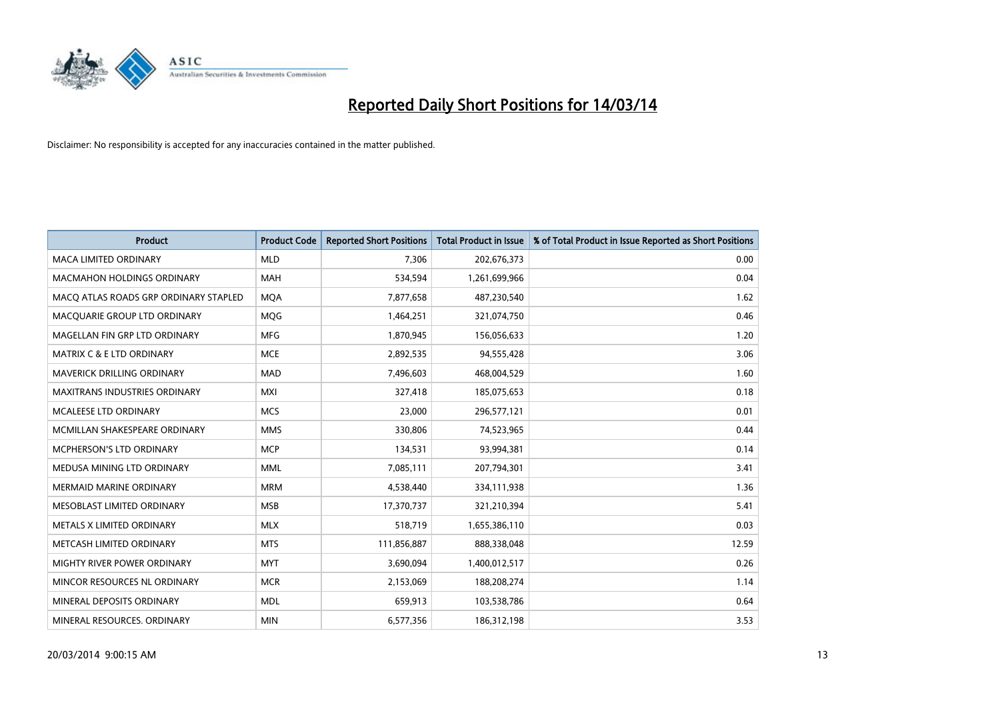

| <b>Product</b>                        | <b>Product Code</b> | <b>Reported Short Positions</b> | <b>Total Product in Issue</b> | % of Total Product in Issue Reported as Short Positions |
|---------------------------------------|---------------------|---------------------------------|-------------------------------|---------------------------------------------------------|
| <b>MACA LIMITED ORDINARY</b>          | <b>MLD</b>          | 7,306                           | 202,676,373                   | 0.00                                                    |
| <b>MACMAHON HOLDINGS ORDINARY</b>     | <b>MAH</b>          | 534,594                         | 1,261,699,966                 | 0.04                                                    |
| MACO ATLAS ROADS GRP ORDINARY STAPLED | <b>MOA</b>          | 7,877,658                       | 487,230,540                   | 1.62                                                    |
| MACQUARIE GROUP LTD ORDINARY          | MQG                 | 1,464,251                       | 321,074,750                   | 0.46                                                    |
| MAGELLAN FIN GRP LTD ORDINARY         | <b>MFG</b>          | 1,870,945                       | 156,056,633                   | 1.20                                                    |
| <b>MATRIX C &amp; E LTD ORDINARY</b>  | <b>MCE</b>          | 2,892,535                       | 94,555,428                    | 3.06                                                    |
| <b>MAVERICK DRILLING ORDINARY</b>     | <b>MAD</b>          | 7,496,603                       | 468,004,529                   | 1.60                                                    |
| MAXITRANS INDUSTRIES ORDINARY         | <b>MXI</b>          | 327,418                         | 185,075,653                   | 0.18                                                    |
| MCALEESE LTD ORDINARY                 | <b>MCS</b>          | 23,000                          | 296,577,121                   | 0.01                                                    |
| MCMILLAN SHAKESPEARE ORDINARY         | <b>MMS</b>          | 330,806                         | 74,523,965                    | 0.44                                                    |
| MCPHERSON'S LTD ORDINARY              | <b>MCP</b>          | 134,531                         | 93,994,381                    | 0.14                                                    |
| MEDUSA MINING LTD ORDINARY            | <b>MML</b>          | 7,085,111                       | 207,794,301                   | 3.41                                                    |
| MERMAID MARINE ORDINARY               | <b>MRM</b>          | 4,538,440                       | 334,111,938                   | 1.36                                                    |
| MESOBLAST LIMITED ORDINARY            | <b>MSB</b>          | 17,370,737                      | 321,210,394                   | 5.41                                                    |
| METALS X LIMITED ORDINARY             | <b>MLX</b>          | 518,719                         | 1,655,386,110                 | 0.03                                                    |
| METCASH LIMITED ORDINARY              | <b>MTS</b>          | 111,856,887                     | 888,338,048                   | 12.59                                                   |
| MIGHTY RIVER POWER ORDINARY           | <b>MYT</b>          | 3,690,094                       | 1,400,012,517                 | 0.26                                                    |
| MINCOR RESOURCES NL ORDINARY          | <b>MCR</b>          | 2,153,069                       | 188,208,274                   | 1.14                                                    |
| MINERAL DEPOSITS ORDINARY             | <b>MDL</b>          | 659,913                         | 103,538,786                   | 0.64                                                    |
| MINERAL RESOURCES. ORDINARY           | <b>MIN</b>          | 6,577,356                       | 186,312,198                   | 3.53                                                    |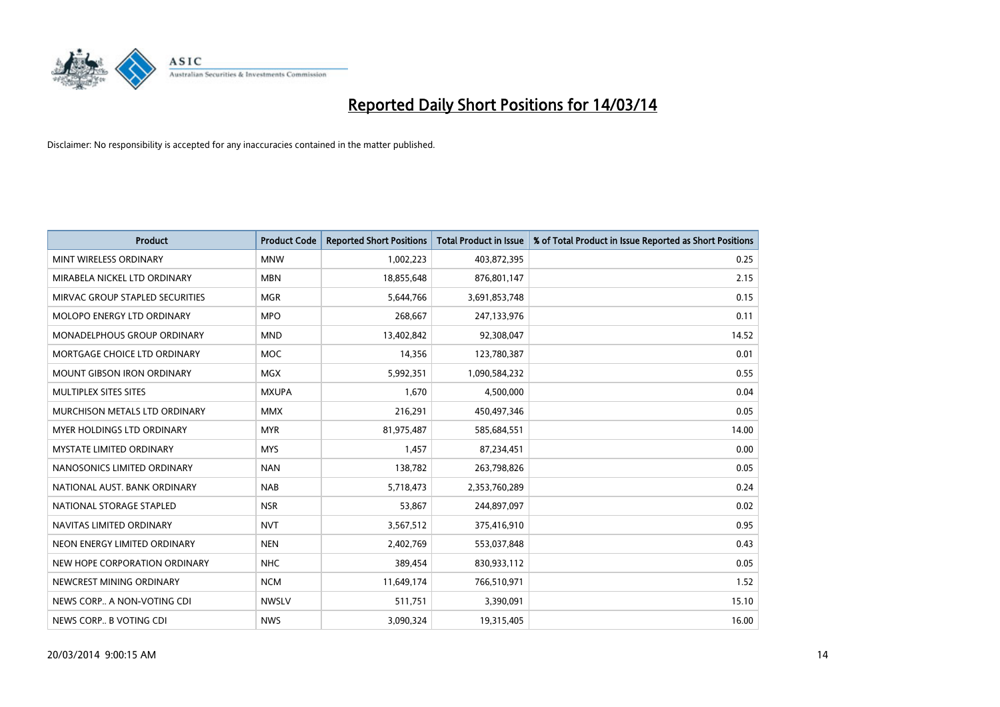

| <b>Product</b>                       | <b>Product Code</b> | <b>Reported Short Positions</b> | <b>Total Product in Issue</b> | % of Total Product in Issue Reported as Short Positions |
|--------------------------------------|---------------------|---------------------------------|-------------------------------|---------------------------------------------------------|
| MINT WIRELESS ORDINARY               | <b>MNW</b>          | 1,002,223                       | 403,872,395                   | 0.25                                                    |
| MIRABELA NICKEL LTD ORDINARY         | <b>MBN</b>          | 18,855,648                      | 876,801,147                   | 2.15                                                    |
| MIRVAC GROUP STAPLED SECURITIES      | <b>MGR</b>          | 5,644,766                       | 3,691,853,748                 | 0.15                                                    |
| MOLOPO ENERGY LTD ORDINARY           | <b>MPO</b>          | 268,667                         | 247,133,976                   | 0.11                                                    |
| <b>MONADELPHOUS GROUP ORDINARY</b>   | <b>MND</b>          | 13,402,842                      | 92,308,047                    | 14.52                                                   |
| MORTGAGE CHOICE LTD ORDINARY         | <b>MOC</b>          | 14,356                          | 123,780,387                   | 0.01                                                    |
| <b>MOUNT GIBSON IRON ORDINARY</b>    | <b>MGX</b>          | 5,992,351                       | 1,090,584,232                 | 0.55                                                    |
| MULTIPLEX SITES SITES                | <b>MXUPA</b>        | 1,670                           | 4,500,000                     | 0.04                                                    |
| <b>MURCHISON METALS LTD ORDINARY</b> | <b>MMX</b>          | 216,291                         | 450,497,346                   | 0.05                                                    |
| <b>MYER HOLDINGS LTD ORDINARY</b>    | <b>MYR</b>          | 81,975,487                      | 585,684,551                   | 14.00                                                   |
| MYSTATE LIMITED ORDINARY             | <b>MYS</b>          | 1,457                           | 87,234,451                    | 0.00                                                    |
| NANOSONICS LIMITED ORDINARY          | <b>NAN</b>          | 138,782                         | 263,798,826                   | 0.05                                                    |
| NATIONAL AUST. BANK ORDINARY         | <b>NAB</b>          | 5,718,473                       | 2,353,760,289                 | 0.24                                                    |
| NATIONAL STORAGE STAPLED             | <b>NSR</b>          | 53,867                          | 244,897,097                   | 0.02                                                    |
| NAVITAS LIMITED ORDINARY             | <b>NVT</b>          | 3,567,512                       | 375,416,910                   | 0.95                                                    |
| NEON ENERGY LIMITED ORDINARY         | <b>NEN</b>          | 2,402,769                       | 553,037,848                   | 0.43                                                    |
| NEW HOPE CORPORATION ORDINARY        | <b>NHC</b>          | 389,454                         | 830,933,112                   | 0.05                                                    |
| NEWCREST MINING ORDINARY             | <b>NCM</b>          | 11,649,174                      | 766,510,971                   | 1.52                                                    |
| NEWS CORP A NON-VOTING CDI           | <b>NWSLV</b>        | 511,751                         | 3,390,091                     | 15.10                                                   |
| NEWS CORP B VOTING CDI               | <b>NWS</b>          | 3,090,324                       | 19,315,405                    | 16.00                                                   |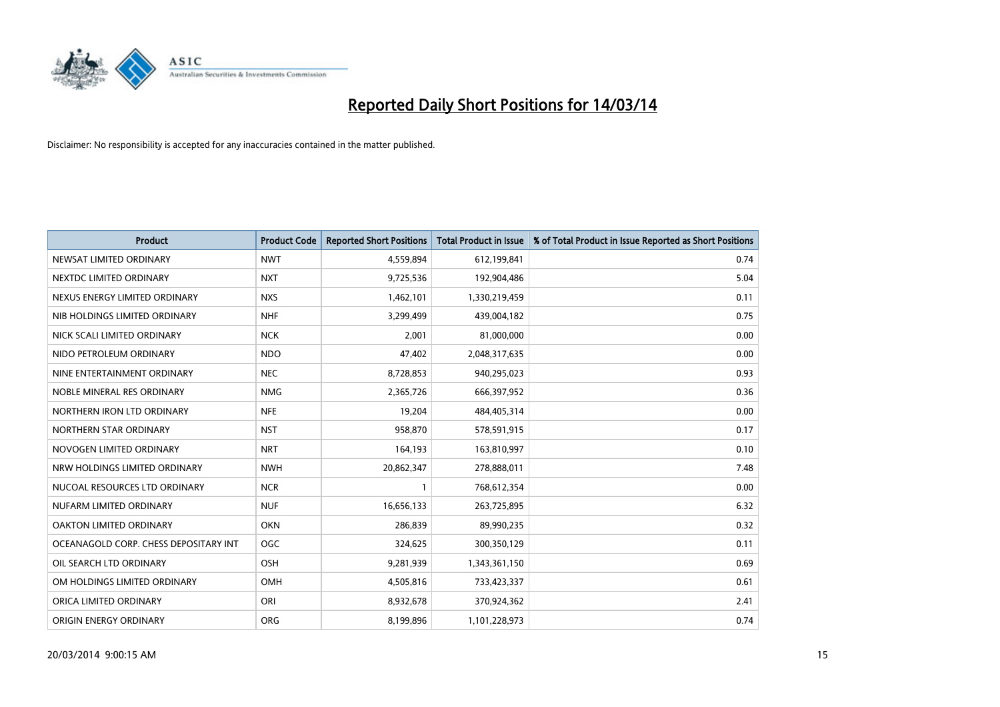

| <b>Product</b>                        | <b>Product Code</b> | <b>Reported Short Positions</b> | <b>Total Product in Issue</b> | % of Total Product in Issue Reported as Short Positions |
|---------------------------------------|---------------------|---------------------------------|-------------------------------|---------------------------------------------------------|
| NEWSAT LIMITED ORDINARY               | <b>NWT</b>          | 4,559,894                       | 612,199,841                   | 0.74                                                    |
| NEXTDC LIMITED ORDINARY               | <b>NXT</b>          | 9,725,536                       | 192,904,486                   | 5.04                                                    |
| NEXUS ENERGY LIMITED ORDINARY         | <b>NXS</b>          | 1,462,101                       | 1,330,219,459                 | 0.11                                                    |
| NIB HOLDINGS LIMITED ORDINARY         | <b>NHF</b>          | 3,299,499                       | 439,004,182                   | 0.75                                                    |
| NICK SCALI LIMITED ORDINARY           | <b>NCK</b>          | 2,001                           | 81,000,000                    | 0.00                                                    |
| NIDO PETROLEUM ORDINARY               | <b>NDO</b>          | 47,402                          | 2,048,317,635                 | 0.00                                                    |
| NINE ENTERTAINMENT ORDINARY           | <b>NEC</b>          | 8,728,853                       | 940,295,023                   | 0.93                                                    |
| NOBLE MINERAL RES ORDINARY            | <b>NMG</b>          | 2,365,726                       | 666,397,952                   | 0.36                                                    |
| NORTHERN IRON LTD ORDINARY            | <b>NFE</b>          | 19,204                          | 484,405,314                   | 0.00                                                    |
| NORTHERN STAR ORDINARY                | <b>NST</b>          | 958,870                         | 578,591,915                   | 0.17                                                    |
| NOVOGEN LIMITED ORDINARY              | <b>NRT</b>          | 164,193                         | 163,810,997                   | 0.10                                                    |
| NRW HOLDINGS LIMITED ORDINARY         | <b>NWH</b>          | 20,862,347                      | 278,888,011                   | 7.48                                                    |
| NUCOAL RESOURCES LTD ORDINARY         | <b>NCR</b>          |                                 | 768,612,354                   | 0.00                                                    |
| NUFARM LIMITED ORDINARY               | <b>NUF</b>          | 16,656,133                      | 263,725,895                   | 6.32                                                    |
| <b>OAKTON LIMITED ORDINARY</b>        | <b>OKN</b>          | 286,839                         | 89,990,235                    | 0.32                                                    |
| OCEANAGOLD CORP. CHESS DEPOSITARY INT | OGC                 | 324,625                         | 300,350,129                   | 0.11                                                    |
| OIL SEARCH LTD ORDINARY               | <b>OSH</b>          | 9,281,939                       | 1,343,361,150                 | 0.69                                                    |
| OM HOLDINGS LIMITED ORDINARY          | OMH                 | 4,505,816                       | 733,423,337                   | 0.61                                                    |
| ORICA LIMITED ORDINARY                | ORI                 | 8,932,678                       | 370,924,362                   | 2.41                                                    |
| ORIGIN ENERGY ORDINARY                | <b>ORG</b>          | 8,199,896                       | 1,101,228,973                 | 0.74                                                    |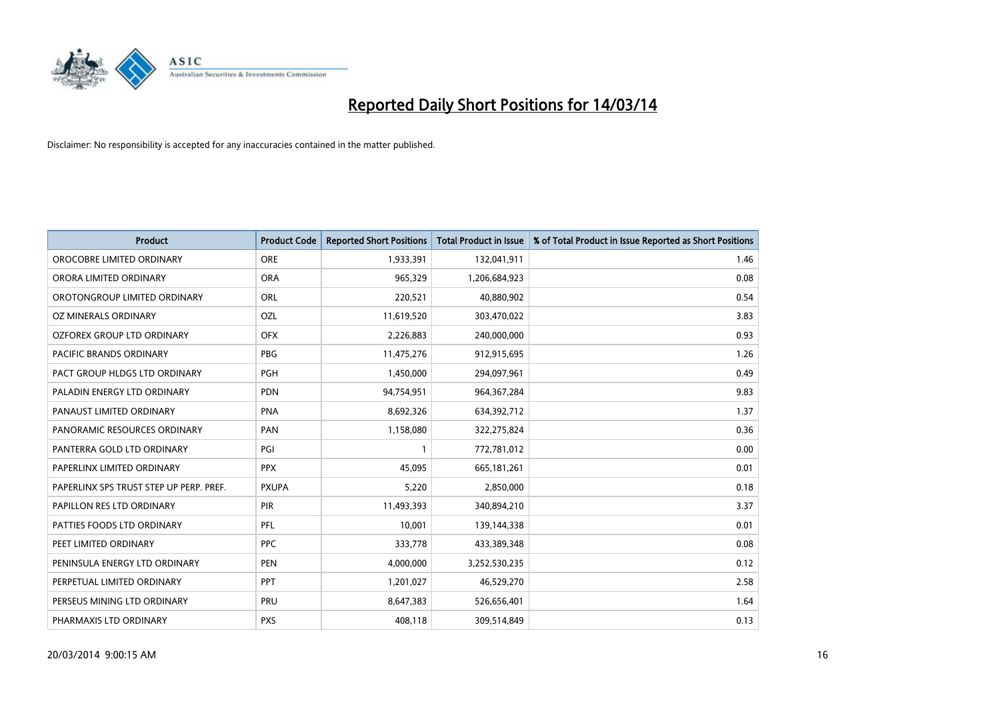

| <b>Product</b>                          | <b>Product Code</b> | <b>Reported Short Positions</b> | <b>Total Product in Issue</b> | % of Total Product in Issue Reported as Short Positions |
|-----------------------------------------|---------------------|---------------------------------|-------------------------------|---------------------------------------------------------|
| OROCOBRE LIMITED ORDINARY               | <b>ORE</b>          | 1,933,391                       | 132,041,911                   | 1.46                                                    |
| ORORA LIMITED ORDINARY                  | <b>ORA</b>          | 965,329                         | 1,206,684,923                 | 0.08                                                    |
| OROTONGROUP LIMITED ORDINARY            | ORL                 | 220,521                         | 40,880,902                    | 0.54                                                    |
| OZ MINERALS ORDINARY                    | OZL                 | 11,619,520                      | 303,470,022                   | 3.83                                                    |
| OZFOREX GROUP LTD ORDINARY              | <b>OFX</b>          | 2,226,883                       | 240,000,000                   | 0.93                                                    |
| PACIFIC BRANDS ORDINARY                 | PBG                 | 11,475,276                      | 912,915,695                   | 1.26                                                    |
| PACT GROUP HLDGS LTD ORDINARY           | <b>PGH</b>          | 1,450,000                       | 294,097,961                   | 0.49                                                    |
| PALADIN ENERGY LTD ORDINARY             | <b>PDN</b>          | 94,754,951                      | 964, 367, 284                 | 9.83                                                    |
| PANAUST LIMITED ORDINARY                | <b>PNA</b>          | 8,692,326                       | 634,392,712                   | 1.37                                                    |
| PANORAMIC RESOURCES ORDINARY            | PAN                 | 1,158,080                       | 322,275,824                   | 0.36                                                    |
| PANTERRA GOLD LTD ORDINARY              | PGI                 |                                 | 772,781,012                   | 0.00                                                    |
| PAPERLINX LIMITED ORDINARY              | <b>PPX</b>          | 45,095                          | 665, 181, 261                 | 0.01                                                    |
| PAPERLINX SPS TRUST STEP UP PERP. PREF. | <b>PXUPA</b>        | 5,220                           | 2,850,000                     | 0.18                                                    |
| PAPILLON RES LTD ORDINARY               | <b>PIR</b>          | 11,493,393                      | 340,894,210                   | 3.37                                                    |
| PATTIES FOODS LTD ORDINARY              | PFL                 | 10,001                          | 139,144,338                   | 0.01                                                    |
| PEET LIMITED ORDINARY                   | <b>PPC</b>          | 333,778                         | 433,389,348                   | 0.08                                                    |
| PENINSULA ENERGY LTD ORDINARY           | <b>PEN</b>          | 4,000,000                       | 3,252,530,235                 | 0.12                                                    |
| PERPETUAL LIMITED ORDINARY              | <b>PPT</b>          | 1,201,027                       | 46,529,270                    | 2.58                                                    |
| PERSEUS MINING LTD ORDINARY             | PRU                 | 8,647,383                       | 526,656,401                   | 1.64                                                    |
| PHARMAXIS LTD ORDINARY                  | <b>PXS</b>          | 408,118                         | 309,514,849                   | 0.13                                                    |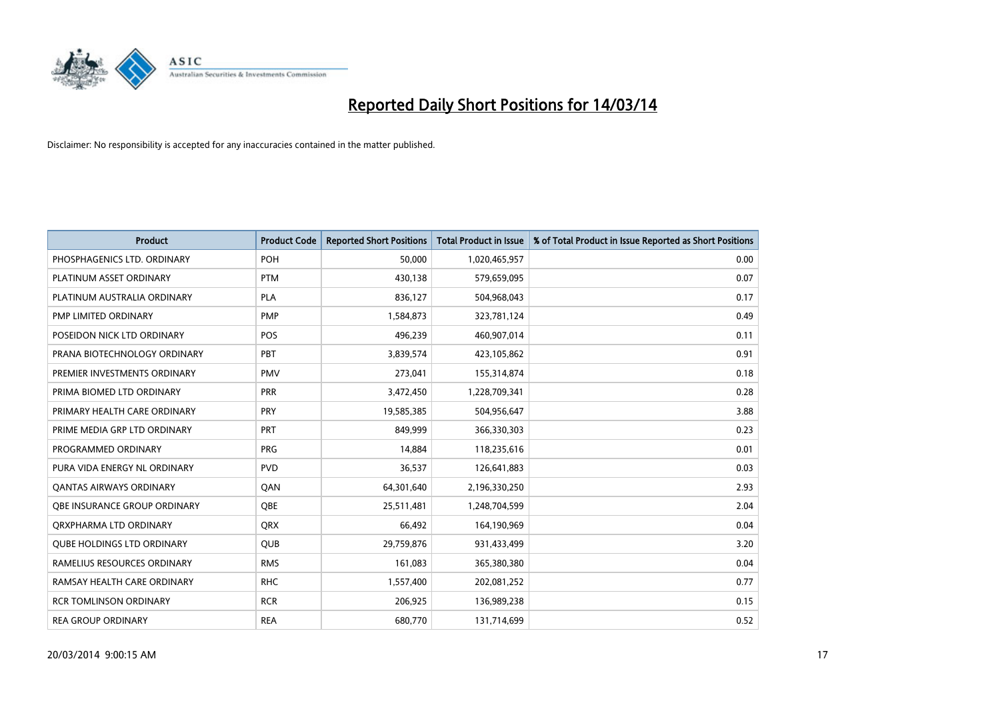

| <b>Product</b>                    | <b>Product Code</b> | <b>Reported Short Positions</b> | <b>Total Product in Issue</b> | % of Total Product in Issue Reported as Short Positions |
|-----------------------------------|---------------------|---------------------------------|-------------------------------|---------------------------------------------------------|
| PHOSPHAGENICS LTD. ORDINARY       | <b>POH</b>          | 50.000                          | 1,020,465,957                 | 0.00                                                    |
| PLATINUM ASSET ORDINARY           | <b>PTM</b>          | 430,138                         | 579,659,095                   | 0.07                                                    |
| PLATINUM AUSTRALIA ORDINARY       | <b>PLA</b>          | 836,127                         | 504,968,043                   | 0.17                                                    |
| PMP LIMITED ORDINARY              | <b>PMP</b>          | 1,584,873                       | 323,781,124                   | 0.49                                                    |
| POSEIDON NICK LTD ORDINARY        | <b>POS</b>          | 496,239                         | 460,907,014                   | 0.11                                                    |
| PRANA BIOTECHNOLOGY ORDINARY      | PBT                 | 3,839,574                       | 423,105,862                   | 0.91                                                    |
| PREMIER INVESTMENTS ORDINARY      | <b>PMV</b>          | 273,041                         | 155,314,874                   | 0.18                                                    |
| PRIMA BIOMED LTD ORDINARY         | PRR                 | 3,472,450                       | 1,228,709,341                 | 0.28                                                    |
| PRIMARY HEALTH CARE ORDINARY      | <b>PRY</b>          | 19,585,385                      | 504,956,647                   | 3.88                                                    |
| PRIME MEDIA GRP LTD ORDINARY      | PRT                 | 849.999                         | 366,330,303                   | 0.23                                                    |
| PROGRAMMED ORDINARY               | <b>PRG</b>          | 14,884                          | 118,235,616                   | 0.01                                                    |
| PURA VIDA ENERGY NL ORDINARY      | <b>PVD</b>          | 36,537                          | 126,641,883                   | 0.03                                                    |
| <b>QANTAS AIRWAYS ORDINARY</b>    | QAN                 | 64,301,640                      | 2,196,330,250                 | 2.93                                                    |
| OBE INSURANCE GROUP ORDINARY      | <b>OBE</b>          | 25,511,481                      | 1,248,704,599                 | 2.04                                                    |
| ORXPHARMA LTD ORDINARY            | <b>QRX</b>          | 66,492                          | 164,190,969                   | 0.04                                                    |
| <b>QUBE HOLDINGS LTD ORDINARY</b> | <b>QUB</b>          | 29,759,876                      | 931,433,499                   | 3.20                                                    |
| RAMELIUS RESOURCES ORDINARY       | <b>RMS</b>          | 161,083                         | 365,380,380                   | 0.04                                                    |
| RAMSAY HEALTH CARE ORDINARY       | <b>RHC</b>          | 1,557,400                       | 202,081,252                   | 0.77                                                    |
| <b>RCR TOMLINSON ORDINARY</b>     | <b>RCR</b>          | 206,925                         | 136,989,238                   | 0.15                                                    |
| <b>REA GROUP ORDINARY</b>         | <b>REA</b>          | 680.770                         | 131,714,699                   | 0.52                                                    |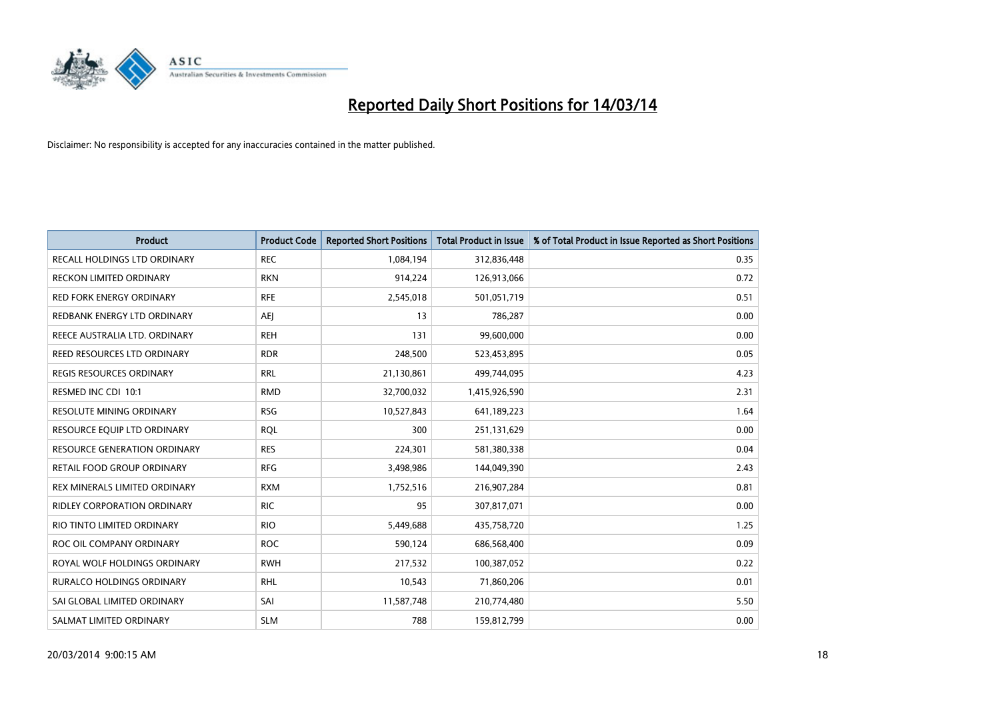

| <b>Product</b>                     | <b>Product Code</b> | <b>Reported Short Positions</b> | <b>Total Product in Issue</b> | % of Total Product in Issue Reported as Short Positions |
|------------------------------------|---------------------|---------------------------------|-------------------------------|---------------------------------------------------------|
| RECALL HOLDINGS LTD ORDINARY       | <b>REC</b>          | 1,084,194                       | 312,836,448                   | 0.35                                                    |
| RECKON LIMITED ORDINARY            | <b>RKN</b>          | 914,224                         | 126,913,066                   | 0.72                                                    |
| <b>RED FORK ENERGY ORDINARY</b>    | <b>RFE</b>          | 2,545,018                       | 501,051,719                   | 0.51                                                    |
| REDBANK ENERGY LTD ORDINARY        | AEJ                 | 13                              | 786,287                       | 0.00                                                    |
| REECE AUSTRALIA LTD. ORDINARY      | <b>REH</b>          | 131                             | 99,600,000                    | 0.00                                                    |
| REED RESOURCES LTD ORDINARY        | <b>RDR</b>          | 248,500                         | 523,453,895                   | 0.05                                                    |
| REGIS RESOURCES ORDINARY           | <b>RRL</b>          | 21,130,861                      | 499,744,095                   | 4.23                                                    |
| RESMED INC CDI 10:1                | <b>RMD</b>          | 32,700,032                      | 1,415,926,590                 | 2.31                                                    |
| <b>RESOLUTE MINING ORDINARY</b>    | <b>RSG</b>          | 10,527,843                      | 641,189,223                   | 1.64                                                    |
| RESOURCE EQUIP LTD ORDINARY        | <b>ROL</b>          | 300                             | 251,131,629                   | 0.00                                                    |
| RESOURCE GENERATION ORDINARY       | <b>RES</b>          | 224,301                         | 581,380,338                   | 0.04                                                    |
| RETAIL FOOD GROUP ORDINARY         | <b>RFG</b>          | 3,498,986                       | 144,049,390                   | 2.43                                                    |
| REX MINERALS LIMITED ORDINARY      | <b>RXM</b>          | 1,752,516                       | 216,907,284                   | 0.81                                                    |
| <b>RIDLEY CORPORATION ORDINARY</b> | <b>RIC</b>          | 95                              | 307,817,071                   | 0.00                                                    |
| RIO TINTO LIMITED ORDINARY         | <b>RIO</b>          | 5,449,688                       | 435,758,720                   | 1.25                                                    |
| ROC OIL COMPANY ORDINARY           | <b>ROC</b>          | 590,124                         | 686,568,400                   | 0.09                                                    |
| ROYAL WOLF HOLDINGS ORDINARY       | <b>RWH</b>          | 217,532                         | 100,387,052                   | 0.22                                                    |
| RURALCO HOLDINGS ORDINARY          | <b>RHL</b>          | 10,543                          | 71,860,206                    | 0.01                                                    |
| SAI GLOBAL LIMITED ORDINARY        | SAI                 | 11,587,748                      | 210,774,480                   | 5.50                                                    |
| SALMAT LIMITED ORDINARY            | <b>SLM</b>          | 788                             | 159,812,799                   | 0.00                                                    |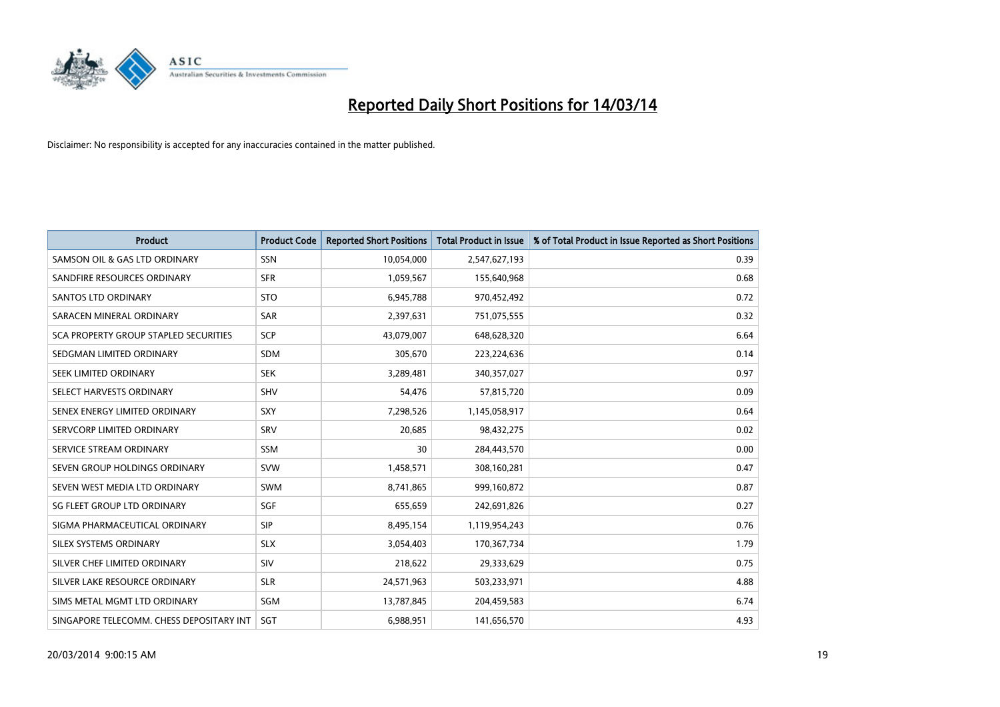

| <b>Product</b>                           | <b>Product Code</b> | <b>Reported Short Positions</b> | <b>Total Product in Issue</b> | % of Total Product in Issue Reported as Short Positions |
|------------------------------------------|---------------------|---------------------------------|-------------------------------|---------------------------------------------------------|
| SAMSON OIL & GAS LTD ORDINARY            | SSN                 | 10,054,000                      | 2,547,627,193                 | 0.39                                                    |
| SANDFIRE RESOURCES ORDINARY              | <b>SFR</b>          | 1,059,567                       | 155,640,968                   | 0.68                                                    |
| <b>SANTOS LTD ORDINARY</b>               | <b>STO</b>          | 6,945,788                       | 970,452,492                   | 0.72                                                    |
| SARACEN MINERAL ORDINARY                 | SAR                 | 2,397,631                       | 751,075,555                   | 0.32                                                    |
| SCA PROPERTY GROUP STAPLED SECURITIES    | <b>SCP</b>          | 43,079,007                      | 648,628,320                   | 6.64                                                    |
| SEDGMAN LIMITED ORDINARY                 | <b>SDM</b>          | 305,670                         | 223,224,636                   | 0.14                                                    |
| SEEK LIMITED ORDINARY                    | <b>SEK</b>          | 3,289,481                       | 340,357,027                   | 0.97                                                    |
| SELECT HARVESTS ORDINARY                 | SHV                 | 54,476                          | 57,815,720                    | 0.09                                                    |
| SENEX ENERGY LIMITED ORDINARY            | <b>SXY</b>          | 7,298,526                       | 1,145,058,917                 | 0.64                                                    |
| SERVCORP LIMITED ORDINARY                | SRV                 | 20,685                          | 98,432,275                    | 0.02                                                    |
| SERVICE STREAM ORDINARY                  | SSM                 | 30                              | 284,443,570                   | 0.00                                                    |
| SEVEN GROUP HOLDINGS ORDINARY            | <b>SVW</b>          | 1,458,571                       | 308,160,281                   | 0.47                                                    |
| SEVEN WEST MEDIA LTD ORDINARY            | <b>SWM</b>          | 8,741,865                       | 999,160,872                   | 0.87                                                    |
| SG FLEET GROUP LTD ORDINARY              | SGF                 | 655,659                         | 242,691,826                   | 0.27                                                    |
| SIGMA PHARMACEUTICAL ORDINARY            | <b>SIP</b>          | 8,495,154                       | 1,119,954,243                 | 0.76                                                    |
| SILEX SYSTEMS ORDINARY                   | <b>SLX</b>          | 3,054,403                       | 170,367,734                   | 1.79                                                    |
| SILVER CHEF LIMITED ORDINARY             | SIV                 | 218,622                         | 29,333,629                    | 0.75                                                    |
| SILVER LAKE RESOURCE ORDINARY            | <b>SLR</b>          | 24,571,963                      | 503,233,971                   | 4.88                                                    |
| SIMS METAL MGMT LTD ORDINARY             | SGM                 | 13,787,845                      | 204,459,583                   | 6.74                                                    |
| SINGAPORE TELECOMM. CHESS DEPOSITARY INT | SGT                 | 6.988.951                       | 141,656,570                   | 4.93                                                    |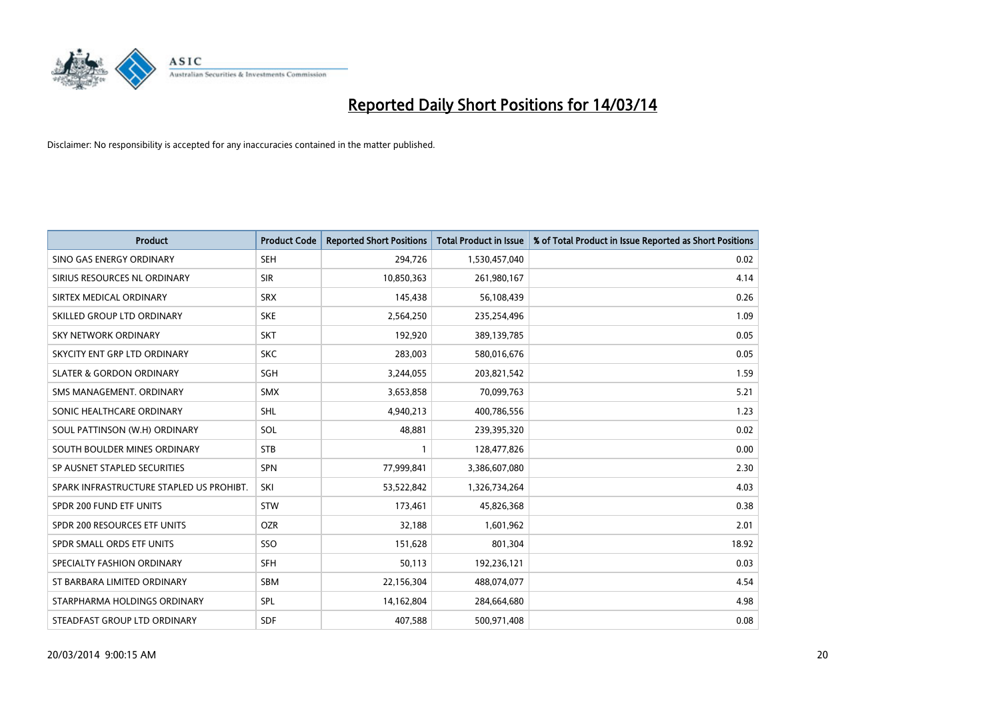

| <b>Product</b>                           | <b>Product Code</b> | <b>Reported Short Positions</b> | <b>Total Product in Issue</b> | % of Total Product in Issue Reported as Short Positions |
|------------------------------------------|---------------------|---------------------------------|-------------------------------|---------------------------------------------------------|
| SINO GAS ENERGY ORDINARY                 | <b>SEH</b>          | 294,726                         | 1,530,457,040                 | 0.02                                                    |
| SIRIUS RESOURCES NL ORDINARY             | <b>SIR</b>          | 10,850,363                      | 261,980,167                   | 4.14                                                    |
| SIRTEX MEDICAL ORDINARY                  | <b>SRX</b>          | 145,438                         | 56,108,439                    | 0.26                                                    |
| SKILLED GROUP LTD ORDINARY               | <b>SKE</b>          | 2,564,250                       | 235,254,496                   | 1.09                                                    |
| <b>SKY NETWORK ORDINARY</b>              | <b>SKT</b>          | 192,920                         | 389,139,785                   | 0.05                                                    |
| SKYCITY ENT GRP LTD ORDINARY             | <b>SKC</b>          | 283,003                         | 580,016,676                   | 0.05                                                    |
| <b>SLATER &amp; GORDON ORDINARY</b>      | SGH                 | 3,244,055                       | 203,821,542                   | 1.59                                                    |
| SMS MANAGEMENT, ORDINARY                 | <b>SMX</b>          | 3,653,858                       | 70,099,763                    | 5.21                                                    |
| SONIC HEALTHCARE ORDINARY                | <b>SHL</b>          | 4,940,213                       | 400,786,556                   | 1.23                                                    |
| SOUL PATTINSON (W.H) ORDINARY            | SOL                 | 48.881                          | 239,395,320                   | 0.02                                                    |
| SOUTH BOULDER MINES ORDINARY             | <b>STB</b>          |                                 | 128,477,826                   | 0.00                                                    |
| SP AUSNET STAPLED SECURITIES             | <b>SPN</b>          | 77,999,841                      | 3,386,607,080                 | 2.30                                                    |
| SPARK INFRASTRUCTURE STAPLED US PROHIBT. | SKI                 | 53,522,842                      | 1,326,734,264                 | 4.03                                                    |
| SPDR 200 FUND ETF UNITS                  | <b>STW</b>          | 173,461                         | 45,826,368                    | 0.38                                                    |
| SPDR 200 RESOURCES ETF UNITS             | <b>OZR</b>          | 32,188                          | 1,601,962                     | 2.01                                                    |
| SPDR SMALL ORDS ETF UNITS                | SSO                 | 151,628                         | 801,304                       | 18.92                                                   |
| SPECIALTY FASHION ORDINARY               | <b>SFH</b>          | 50,113                          | 192,236,121                   | 0.03                                                    |
| ST BARBARA LIMITED ORDINARY              | <b>SBM</b>          | 22,156,304                      | 488,074,077                   | 4.54                                                    |
| STARPHARMA HOLDINGS ORDINARY             | <b>SPL</b>          | 14,162,804                      | 284,664,680                   | 4.98                                                    |
| STEADFAST GROUP LTD ORDINARY             | <b>SDF</b>          | 407,588                         | 500,971,408                   | 0.08                                                    |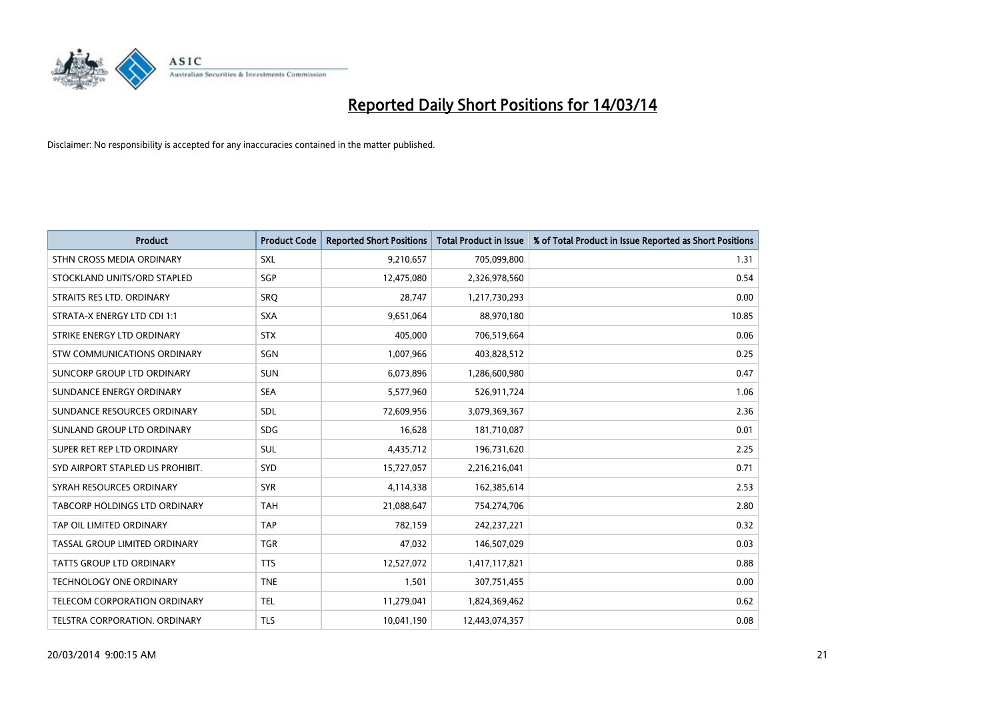

| <b>Product</b>                       | <b>Product Code</b> | <b>Reported Short Positions</b> | <b>Total Product in Issue</b> | % of Total Product in Issue Reported as Short Positions |
|--------------------------------------|---------------------|---------------------------------|-------------------------------|---------------------------------------------------------|
| STHN CROSS MEDIA ORDINARY            | <b>SXL</b>          | 9,210,657                       | 705,099,800                   | 1.31                                                    |
| STOCKLAND UNITS/ORD STAPLED          | SGP                 | 12,475,080                      | 2,326,978,560                 | 0.54                                                    |
| STRAITS RES LTD. ORDINARY            | SRQ                 | 28,747                          | 1,217,730,293                 | 0.00                                                    |
| STRATA-X ENERGY LTD CDI 1:1          | SXA                 | 9,651,064                       | 88,970,180                    | 10.85                                                   |
| STRIKE ENERGY LTD ORDINARY           | <b>STX</b>          | 405.000                         | 706,519,664                   | 0.06                                                    |
| STW COMMUNICATIONS ORDINARY          | SGN                 | 1,007,966                       | 403,828,512                   | 0.25                                                    |
| SUNCORP GROUP LTD ORDINARY           | <b>SUN</b>          | 6,073,896                       | 1,286,600,980                 | 0.47                                                    |
| SUNDANCE ENERGY ORDINARY             | <b>SEA</b>          | 5,577,960                       | 526,911,724                   | 1.06                                                    |
| SUNDANCE RESOURCES ORDINARY          | <b>SDL</b>          | 72,609,956                      | 3,079,369,367                 | 2.36                                                    |
| SUNLAND GROUP LTD ORDINARY           | <b>SDG</b>          | 16,628                          | 181,710,087                   | 0.01                                                    |
| SUPER RET REP LTD ORDINARY           | <b>SUL</b>          | 4,435,712                       | 196,731,620                   | 2.25                                                    |
| SYD AIRPORT STAPLED US PROHIBIT.     | SYD                 | 15,727,057                      | 2,216,216,041                 | 0.71                                                    |
| SYRAH RESOURCES ORDINARY             | <b>SYR</b>          | 4,114,338                       | 162,385,614                   | 2.53                                                    |
| TABCORP HOLDINGS LTD ORDINARY        | <b>TAH</b>          | 21,088,647                      | 754,274,706                   | 2.80                                                    |
| TAP OIL LIMITED ORDINARY             | <b>TAP</b>          | 782,159                         | 242,237,221                   | 0.32                                                    |
| <b>TASSAL GROUP LIMITED ORDINARY</b> | <b>TGR</b>          | 47,032                          | 146,507,029                   | 0.03                                                    |
| <b>TATTS GROUP LTD ORDINARY</b>      | <b>TTS</b>          | 12,527,072                      | 1,417,117,821                 | 0.88                                                    |
| TECHNOLOGY ONE ORDINARY              | <b>TNE</b>          | 1,501                           | 307,751,455                   | 0.00                                                    |
| <b>TELECOM CORPORATION ORDINARY</b>  | <b>TEL</b>          | 11,279,041                      | 1,824,369,462                 | 0.62                                                    |
| TELSTRA CORPORATION, ORDINARY        | <b>TLS</b>          | 10,041,190                      | 12,443,074,357                | 0.08                                                    |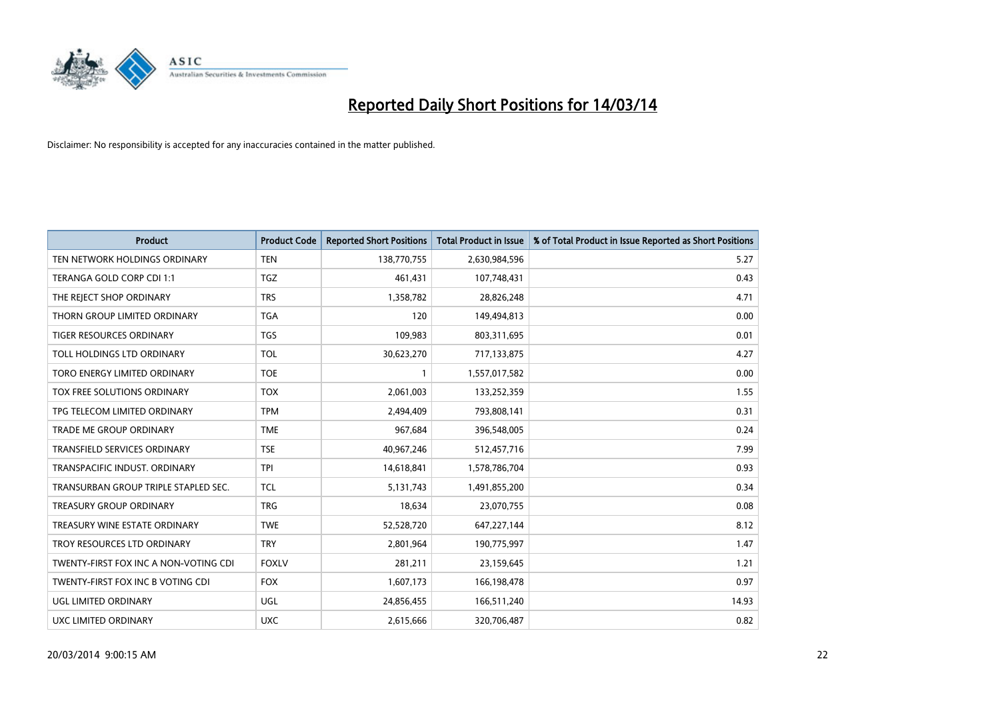

| <b>Product</b>                        | <b>Product Code</b> | <b>Reported Short Positions</b> | <b>Total Product in Issue</b> | % of Total Product in Issue Reported as Short Positions |
|---------------------------------------|---------------------|---------------------------------|-------------------------------|---------------------------------------------------------|
| TEN NETWORK HOLDINGS ORDINARY         | <b>TEN</b>          | 138,770,755                     | 2,630,984,596                 | 5.27                                                    |
| TERANGA GOLD CORP CDI 1:1             | <b>TGZ</b>          | 461,431                         | 107,748,431                   | 0.43                                                    |
| THE REJECT SHOP ORDINARY              | <b>TRS</b>          | 1,358,782                       | 28,826,248                    | 4.71                                                    |
| THORN GROUP LIMITED ORDINARY          | <b>TGA</b>          | 120                             | 149,494,813                   | 0.00                                                    |
| <b>TIGER RESOURCES ORDINARY</b>       | <b>TGS</b>          | 109,983                         | 803,311,695                   | 0.01                                                    |
| TOLL HOLDINGS LTD ORDINARY            | <b>TOL</b>          | 30,623,270                      | 717,133,875                   | 4.27                                                    |
| TORO ENERGY LIMITED ORDINARY          | <b>TOE</b>          |                                 | 1,557,017,582                 | 0.00                                                    |
| TOX FREE SOLUTIONS ORDINARY           | <b>TOX</b>          | 2,061,003                       | 133,252,359                   | 1.55                                                    |
| TPG TELECOM LIMITED ORDINARY          | <b>TPM</b>          | 2,494,409                       | 793,808,141                   | 0.31                                                    |
| <b>TRADE ME GROUP ORDINARY</b>        | <b>TME</b>          | 967,684                         | 396,548,005                   | 0.24                                                    |
| TRANSFIELD SERVICES ORDINARY          | <b>TSE</b>          | 40,967,246                      | 512,457,716                   | 7.99                                                    |
| TRANSPACIFIC INDUST. ORDINARY         | <b>TPI</b>          | 14,618,841                      | 1,578,786,704                 | 0.93                                                    |
| TRANSURBAN GROUP TRIPLE STAPLED SEC.  | <b>TCL</b>          | 5,131,743                       | 1,491,855,200                 | 0.34                                                    |
| <b>TREASURY GROUP ORDINARY</b>        | <b>TRG</b>          | 18,634                          | 23,070,755                    | 0.08                                                    |
| TREASURY WINE ESTATE ORDINARY         | <b>TWE</b>          | 52,528,720                      | 647,227,144                   | 8.12                                                    |
| TROY RESOURCES LTD ORDINARY           | <b>TRY</b>          | 2,801,964                       | 190,775,997                   | 1.47                                                    |
| TWENTY-FIRST FOX INC A NON-VOTING CDI | <b>FOXLV</b>        | 281,211                         | 23,159,645                    | 1.21                                                    |
| TWENTY-FIRST FOX INC B VOTING CDI     | <b>FOX</b>          | 1,607,173                       | 166,198,478                   | 0.97                                                    |
| UGL LIMITED ORDINARY                  | <b>UGL</b>          | 24,856,455                      | 166,511,240                   | 14.93                                                   |
| UXC LIMITED ORDINARY                  | <b>UXC</b>          | 2,615,666                       | 320,706,487                   | 0.82                                                    |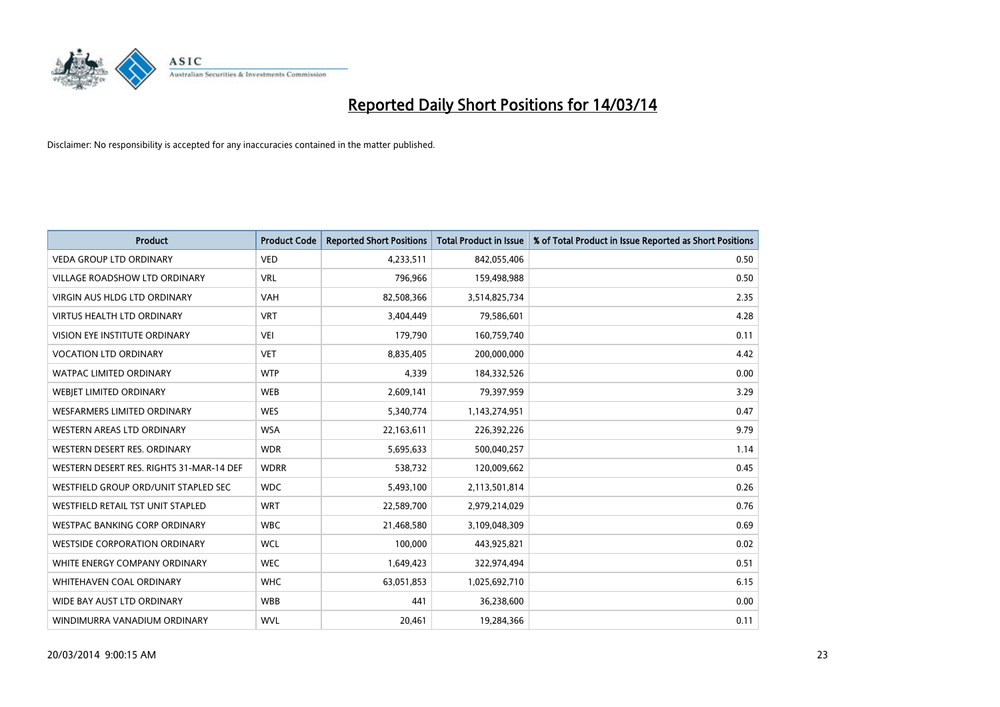

| <b>Product</b>                           | <b>Product Code</b> | <b>Reported Short Positions</b> | <b>Total Product in Issue</b> | % of Total Product in Issue Reported as Short Positions |
|------------------------------------------|---------------------|---------------------------------|-------------------------------|---------------------------------------------------------|
| <b>VEDA GROUP LTD ORDINARY</b>           | <b>VED</b>          | 4,233,511                       | 842,055,406                   | 0.50                                                    |
| VILLAGE ROADSHOW LTD ORDINARY            | <b>VRL</b>          | 796,966                         | 159,498,988                   | 0.50                                                    |
| <b>VIRGIN AUS HLDG LTD ORDINARY</b>      | <b>VAH</b>          | 82,508,366                      | 3,514,825,734                 | 2.35                                                    |
| VIRTUS HEALTH LTD ORDINARY               | <b>VRT</b>          | 3,404,449                       | 79,586,601                    | 4.28                                                    |
| <b>VISION EYE INSTITUTE ORDINARY</b>     | <b>VEI</b>          | 179,790                         | 160,759,740                   | 0.11                                                    |
| <b>VOCATION LTD ORDINARY</b>             | <b>VET</b>          | 8,835,405                       | 200,000,000                   | 4.42                                                    |
| <b>WATPAC LIMITED ORDINARY</b>           | <b>WTP</b>          | 4,339                           | 184,332,526                   | 0.00                                                    |
| WEBIET LIMITED ORDINARY                  | <b>WEB</b>          | 2,609,141                       | 79,397,959                    | 3.29                                                    |
| <b>WESFARMERS LIMITED ORDINARY</b>       | <b>WES</b>          | 5,340,774                       | 1,143,274,951                 | 0.47                                                    |
| WESTERN AREAS LTD ORDINARY               | <b>WSA</b>          | 22,163,611                      | 226,392,226                   | 9.79                                                    |
| WESTERN DESERT RES. ORDINARY             | <b>WDR</b>          | 5,695,633                       | 500,040,257                   | 1.14                                                    |
| WESTERN DESERT RES. RIGHTS 31-MAR-14 DEF | <b>WDRR</b>         | 538,732                         | 120,009,662                   | 0.45                                                    |
| WESTFIELD GROUP ORD/UNIT STAPLED SEC     | <b>WDC</b>          | 5,493,100                       | 2,113,501,814                 | 0.26                                                    |
| <b>WESTFIELD RETAIL TST UNIT STAPLED</b> | <b>WRT</b>          | 22,589,700                      | 2,979,214,029                 | 0.76                                                    |
| <b>WESTPAC BANKING CORP ORDINARY</b>     | <b>WBC</b>          | 21,468,580                      | 3,109,048,309                 | 0.69                                                    |
| <b>WESTSIDE CORPORATION ORDINARY</b>     | <b>WCL</b>          | 100,000                         | 443,925,821                   | 0.02                                                    |
| WHITE ENERGY COMPANY ORDINARY            | <b>WEC</b>          | 1,649,423                       | 322,974,494                   | 0.51                                                    |
| <b>WHITEHAVEN COAL ORDINARY</b>          | <b>WHC</b>          | 63,051,853                      | 1,025,692,710                 | 6.15                                                    |
| WIDE BAY AUST LTD ORDINARY               | <b>WBB</b>          | 441                             | 36,238,600                    | 0.00                                                    |
| WINDIMURRA VANADIUM ORDINARY             | <b>WVL</b>          | 20,461                          | 19,284,366                    | 0.11                                                    |